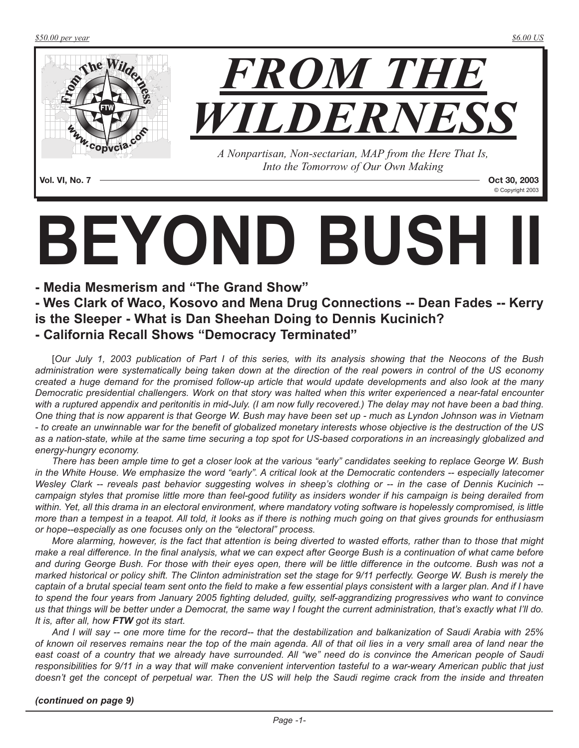*\$50.00 per year \$6.00 US*



**Vol. VI, No. 7 Oct 30, 2003**

© Copyright 2003

# **BEYOND BUSH**

## **- Media Mesmerism and "The Grand Show"**

# **- Wes Clark of Waco, Kosovo and Mena Drug Connections -- Dean Fades -- Kerry is the Sleeper - What is Dan Sheehan Doing to Dennis Kucinich? - California Recall Shows "Democracy Terminated"**

[*Our July 1, 2003 publication of Part I of this series, with its analysis showing that the Neocons of the Bush administration were systematically being taken down at the direction of the real powers in control of the US economy created a huge demand for the promised follow-up article that would update developments and also look at the many Democratic presidential challengers. Work on that story was halted when this writer experienced a near-fatal encounter*  with a ruptured appendix and peritonitis in mid-July. (I am now fully recovered.) The delay may not have been a bad thing. *One thing that is now apparent is that George W. Bush may have been set up - much as Lyndon Johnson was in Vietnam - to create an unwinnable war for the benefit of globalized monetary interests whose objective is the destruction of the US as a nation-state, while at the same time securing a top spot for US-based corporations in an increasingly globalized and energy-hungry economy.* 

*There has been ample time to get a closer look at the various "early" candidates seeking to replace George W. Bush in the White House. We emphasize the word "early". A critical look at the Democratic contenders -- especially latecomer Wesley Clark -- reveals past behavior suggesting wolves in sheep's clothing or -- in the case of Dennis Kucinich - campaign styles that promise little more than feel-good futility as insiders wonder if his campaign is being derailed from*  within. Yet, all this drama in an electoral environment, where mandatory voting software is hopelessly compromised, is little *more than a tempest in a teapot. All told, it looks as if there is nothing much going on that gives grounds for enthusiasm or hope--especially as one focuses only on the "electoral" process.* 

*More alarming, however, is the fact that attention is being diverted to wasted efforts, rather than to those that might make a real difference. In the final analysis, what we can expect after George Bush is a continuation of what came before and during George Bush. For those with their eyes open, there will be little difference in the outcome. Bush was not a marked historical or policy shift. The Clinton administration set the stage for 9/11 perfectly. George W. Bush is merely the captain of a brutal special team sent onto the field to make a few essential plays consistent with a larger plan. And if I have to spend the four years from January 2005 fighting deluded, guilty, self-aggrandizing progressives who want to convince us that things will be better under a Democrat, the same way I fought the current administration, that's exactly what I'll do. It is, after all, how FTW got its start.* 

*And I will say -- one more time for the record-- that the destabilization and balkanization of Saudi Arabia with 25% of known oil reserves remains near the top of the main agenda. All of that oil lies in a very small area of land near the*  east coast of a country that we already have surrounded. All "we" need do is convince the American people of Saudi *responsibilities for 9/11 in a way that will make convenient intervention tasteful to a war-weary American public that just doesn't get the concept of perpetual war. Then the US will help the Saudi regime crack from the inside and threaten*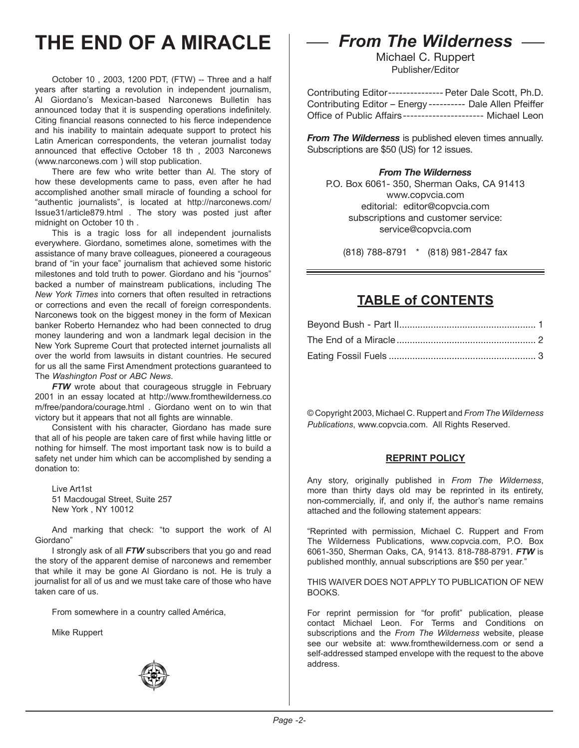# **THE END OF A MIRACLE**

October 10 , 2003, 1200 PDT, (FTW) -- Three and a half years after starting a revolution in independent journalism, Al Giordano's Mexican-based Narconews Bulletin has announced today that it is suspending operations indefinitely. Citing financial reasons connected to his fierce independence and his inability to maintain adequate support to protect his Latin American correspondents, the veteran journalist today announced that effective October 18 th , 2003 Narconews (www.narconews.com ) will stop publication.

There are few who write better than Al. The story of how these developments came to pass, even after he had accomplished another small miracle of founding a school for "authentic journalists", is located at http://narconews.com/ Issue31/article879.html . The story was posted just after midnight on October 10 th .

This is a tragic loss for all independent journalists everywhere. Giordano, sometimes alone, sometimes with the assistance of many brave colleagues, pioneered a courageous brand of "in your face" journalism that achieved some historic milestones and told truth to power. Giordano and his "journos" backed a number of mainstream publications, including The *New York Times* into corners that often resulted in retractions or corrections and even the recall of foreign correspondents. Narconews took on the biggest money in the form of Mexican banker Roberto Hernandez who had been connected to drug money laundering and won a landmark legal decision in the New York Supreme Court that protected internet journalists all over the world from lawsuits in distant countries. He secured for us all the same First Amendment protections guaranteed to The *Washington Post* or *ABC News*.

*FTW* wrote about that courageous struggle in February 2001 in an essay located at http://www.fromthewilderness.co m/free/pandora/courage.html . Giordano went on to win that victory but it appears that not all fights are winnable.

Consistent with his character, Giordano has made sure that all of his people are taken care of first while having little or nothing for himself. The most important task now is to build a safety net under him which can be accomplished by sending a donation to:

Live Art1st 51 Macdougal Street, Suite 257 New York , NY 10012

And marking that check: "to support the work of Al Giordano"

I strongly ask of all *FTW* subscribers that you go and read the story of the apparent demise of narconews and remember that while it may be gone Al Giordano is not. He is truly a journalist for all of us and we must take care of those who have taken care of us.

From somewhere in a country called América,

Mike Ruppert



# *From The Wilderness*

Michael C. Ruppert Publisher/Editor

Contributing Editor --------------- Peter Dale Scott, Ph.D. Contributing Editor – Energy ---------- Dale Allen Pfeiffer Office of Public Affairs ---------------------- Michael Leon

*From The Wilderness* is published eleven times annually. Subscriptions are \$50 (US) for 12 issues.

#### *From The Wilderness*

P.O. Box 6061- 350, Sherman Oaks, CA 91413 www.copvcia.com editorial: editor@copvcia.com subscriptions and customer service: service@copvcia.com

(818) 788-8791 \* (818) 981-2847 fax

# **TABLE of CONTENTS**

© Copyright 2003, Michael C. Ruppert and *From The Wilderness Publications*, www.copvcia.com. All Rights Reserved.

#### **REPRINT POLICY**

Any story, originally published in *From The Wilderness*, more than thirty days old may be reprinted in its entirety, non-commercially, if, and only if, the author's name remains attached and the following statement appears:

"Reprinted with permission, Michael C. Ruppert and From The Wilderness Publications, www.copvcia.com, P.O. Box 6061-350, Sherman Oaks, CA, 91413. 818-788-8791. *FTW* is published monthly, annual subscriptions are \$50 per year."

#### THIS WAIVER DOES NOT APPLY TO PUBLICATION OF NEW BOOKS.

For reprint permission for "for profit" publication, please contact Michael Leon. For Terms and Conditions on subscriptions and the *From The Wilderness* website, please see our website at: www.fromthewilderness.com or send a self-addressed stamped envelope with the request to the above address.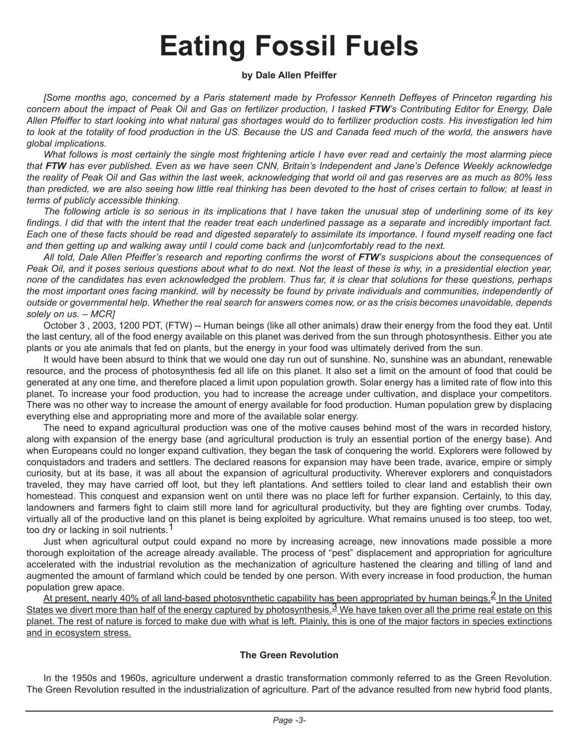# **Eating Fossil Fuels**

#### **by Dale Allen Pfeiffer**

*[Some months ago, concerned by a Paris statement made by Professor Kenneth Deffeyes of Princeton regarding his concern about the impact of Peak Oil and Gas on fertilizer production, I tasked FTW's Contributing Editor for Energy, Dale Allen Pfeiffer to start looking into what natural gas shortages would do to fertilizer production costs. His investigation led him to look at the totality of food production in the US. Because the US and Canada feed much of the world, the answers have global implications.*

*What follows is most certainly the single most frightening article I have ever read and certainly the most alarming piece that FTW has ever published. Even as we have seen CNN, Britain's Independent and Jane's Defence Weekly acknowledge the reality of Peak Oil and Gas within the last week, acknowledging that world oil and gas reserves are as much as 80% less than predicted, we are also seeing how little real thinking has been devoted to the host of crises certain to follow; at least in terms of publicly accessible thinking.*

*The following article is so serious in its implications that I have taken the unusual step of underlining some of its key findings. I did that with the intent that the reader treat each underlined passage as a separate and incredibly important fact. Each one of these facts should be read and digested separately to assimilate its importance. I found myself reading one fact and then getting up and walking away until I could come back and (un)comfortably read to the next.*

All told, Dale Allen Pfeiffer's research and reporting confirms the worst of FTW's suspicions about the consequences of *Peak Oil, and it poses serious questions about what to do next. Not the least of these is why, in a presidential election year, none of the candidates has even acknowledged the problem. Thus far, it is clear that solutions for these questions, perhaps the most important ones facing mankind, will by necessity be found by private individuals and communities, independently of outside or governmental help. Whether the real search for answers comes now, or as the crisis becomes unavoidable, depends solely on us. – MCR]* 

October 3 , 2003, 1200 PDT, (FTW) -- Human beings (like all other animals) draw their energy from the food they eat. Until the last century, all of the food energy available on this planet was derived from the sun through photosynthesis. Either you ate plants or you ate animals that fed on plants, but the energy in your food was ultimately derived from the sun.

It would have been absurd to think that we would one day run out of sunshine. No, sunshine was an abundant, renewable resource, and the process of photosynthesis fed all life on this planet. It also set a limit on the amount of food that could be generated at any one time, and therefore placed a limit upon population growth. Solar energy has a limited rate of flow into this planet. To increase your food production, you had to increase the acreage under cultivation, and displace your competitors. There was no other way to increase the amount of energy available for food production. Human population grew by displacing everything else and appropriating more and more of the available solar energy.

The need to expand agricultural production was one of the motive causes behind most of the wars in recorded history, along with expansion of the energy base (and agricultural production is truly an essential portion of the energy base). And when Europeans could no longer expand cultivation, they began the task of conquering the world. Explorers were followed by conquistadors and traders and settlers. The declared reasons for expansion may have been trade, avarice, empire or simply curiosity, but at its base, it was all about the expansion of agricultural productivity. Wherever explorers and conquistadors traveled, they may have carried off loot, but they left plantations. And settlers toiled to clear land and establish their own homestead. This conquest and expansion went on until there was no place left for further expansion. Certainly, to this day, landowners and farmers fight to claim still more land for agricultural productivity, but they are fighting over crumbs. Today, virtually all of the productive land on this planet is being exploited by agriculture. What remains unused is too steep, too wet, too dry or lacking in soil nutrients.<sup>1</sup>

Just when agricultural output could expand no more by increasing acreage, new innovations made possible a more thorough exploitation of the acreage already available. The process of "pest" displacement and appropriation for agriculture accelerated with the industrial revolution as the mechanization of agriculture hastened the clearing and tilling of land and augmented the amount of farmland which could be tended by one person. With every increase in food production, the human population grew apace.

At present, nearly 40% of all land-based photosynthetic capability has been appropriated by human beings.<sup>2</sup> In the United States we divert more than half of the energy captured by photosynthesis.<sup>3</sup> We have taken over all the prime real estate on this planet. The rest of nature is forced to make due with what is left. Plainly, this is one of the major factors in species extinctions and in ecosystem stress.

#### **The Green Revolution**

In the 1950s and 1960s, agriculture underwent a drastic transformation commonly referred to as the Green Revolution. The Green Revolution resulted in the industrialization of agriculture. Part of the advance resulted from new hybrid food plants,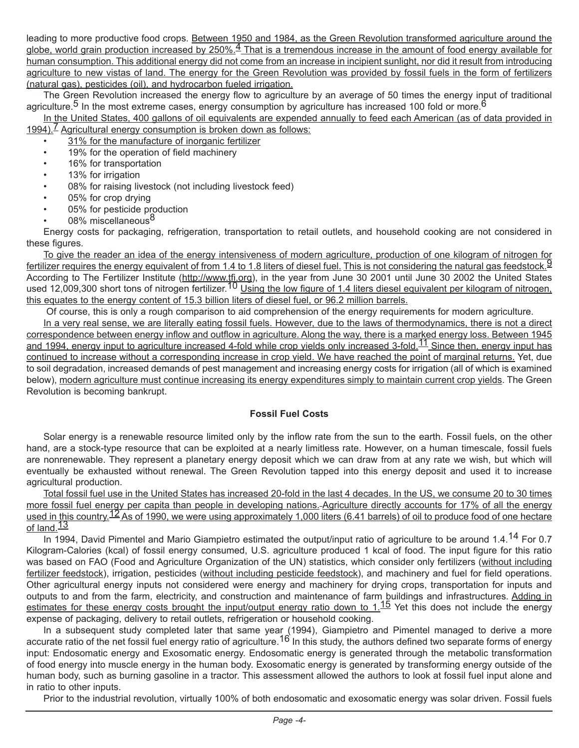leading to more productive food crops. Between 1950 and 1984, as the Green Revolution transformed agriculture around the globe, world grain production increased by 250%. $4$  That is a tremendous increase in the amount of food energy available for human consumption. This additional energy did not come from an increase in incipient sunlight, nor did it result from introducing agriculture to new vistas of land. The energy for the Green Revolution was provided by fossil fuels in the form of fertilizers (natural gas), pesticides (oil), and hydrocarbon fueled irrigation.

The Green Revolution increased the energy flow to agriculture by an average of 50 times the energy input of traditional agriculture.<sup>5</sup> In the most extreme cases, energy consumption by agriculture has increased 100 fold or more.<sup>6</sup>

In the United States, 400 gallons of oil equivalents are expended annually to feed each American (as of data provided in 1994). <sup>4</sup> Agricultural energy consumption is broken down as follows:

- 31% for the manufacture of inorganic fertilizer
- 19% for the operation of field machinery
- 16% for transportation
- 13% for irrigation
- 08% for raising livestock (not including livestock feed)
- 05% for crop drying
- 05% for pesticide production
- 08% miscellaneous<sup>8</sup>

Energy costs for packaging, refrigeration, transportation to retail outlets, and household cooking are not considered in these figures.

To give the reader an idea of the energy intensiveness of modern agriculture, production of one kilogram of nitrogen for fertilizer requires the energy equivalent of from 1.4 to 1.8 liters of diesel fuel. This is not considering the natural gas feedstock.<sup>9</sup> According to The Fertilizer Institute (http://www.tfi.org), in the year from June 30 2001 until June 30 2002 the United States used 12,009,300 short tons of nitrogen fertilizer.<sup>10</sup> Using the low figure of 1.4 liters diesel equivalent per kilogram of nitrogen, this equates to the energy content of 15.3 billion liters of diesel fuel, or 96.2 million barrels.

Of course, this is only a rough comparison to aid comprehension of the energy requirements for modern agriculture.

In a very real sense, we are literally eating fossil fuels. However, due to the laws of thermodynamics, there is not a direct correspondence between energy inflow and outflow in agriculture. Along the way, there is a marked energy loss. Between 1945 and 1994, energy input to agriculture increased 4-fold while crop yields only increased 3-fold.<sup>11</sup> Since then, energy input has continued to increase without a corresponding increase in crop yield. We have reached the point of marginal returns. Yet, due to soil degradation, increased demands of pest management and increasing energy costs for irrigation (all of which is examined below), modern agriculture must continue increasing its energy expenditures simply to maintain current crop yields. The Green Revolution is becoming bankrupt.

#### **Fossil Fuel Costs**

Solar energy is a renewable resource limited only by the inflow rate from the sun to the earth. Fossil fuels, on the other hand, are a stock-type resource that can be exploited at a nearly limitless rate. However, on a human timescale, fossil fuels are nonrenewable. They represent a planetary energy deposit which we can draw from at any rate we wish, but which will eventually be exhausted without renewal. The Green Revolution tapped into this energy deposit and used it to increase agricultural production.

Total fossil fuel use in the United States has increased 20-fold in the last 4 decades. In the US, we consume 20 to 30 times more fossil fuel energy per capita than people in developing nations. Agriculture directly accounts for 17% of all the energy used in this country.<sup>12</sup> As of 1990, we were using approximately 1,000 liters (6.41 barrels) of oil to produce food of one hectare of land. $\frac{13}{2}$ 

In 1994, David Pimentel and Mario Giampietro estimated the output/input ratio of agriculture to be around 1.4.<sup>14</sup> For 0.7 Kilogram-Calories (kcal) of fossil energy consumed, U.S. agriculture produced 1 kcal of food. The input figure for this ratio was based on FAO (Food and Agriculture Organization of the UN) statistics, which consider only fertilizers (without including fertilizer feedstock), irrigation, pesticides (without including pesticide feedstock), and machinery and fuel for field operations. Other agricultural energy inputs not considered were energy and machinery for drying crops, transportation for inputs and outputs to and from the farm, electricity, and construction and maintenance of farm buildings and infrastructures. Adding in estimates for these energy costs brought the input/output energy ratio down to  $1<sup>15</sup>$  Yet this does not include the energy expense of packaging, delivery to retail outlets, refrigeration or household cooking.

In a subsequent study completed later that same year (1994), Giampietro and Pimentel managed to derive a more accurate ratio of the net fossil fuel energy ratio of agriculture.<sup>16</sup> In this study, the authors defined two separate forms of energy input: Endosomatic energy and Exosomatic energy. Endosomatic energy is generated through the metabolic transformation of food energy into muscle energy in the human body. Exosomatic energy is generated by transforming energy outside of the human body, such as burning gasoline in a tractor. This assessment allowed the authors to look at fossil fuel input alone and in ratio to other inputs.

Prior to the industrial revolution, virtually 100% of both endosomatic and exosomatic energy was solar driven. Fossil fuels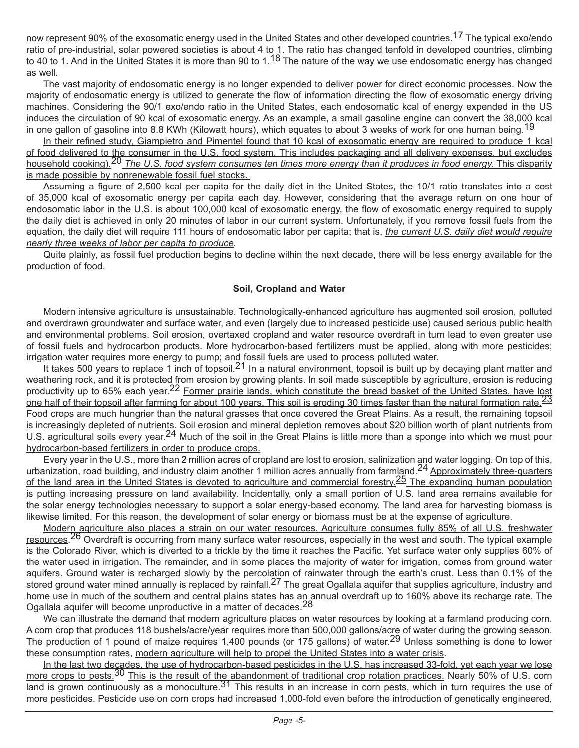now represent 90% of the exosomatic energy used in the United States and other developed countries.<sup>17</sup> The typical exo/endo ratio of pre-industrial, solar powered societies is about 4 to 1. The ratio has changed tenfold in developed countries, climbing to 40 to 1. And in the United States it is more than 90 to 1.<sup>18</sup> The nature of the way we use endosomatic energy has changed as well.

The vast majority of endosomatic energy is no longer expended to deliver power for direct economic processes. Now the majority of endosomatic energy is utilized to generate the flow of information directing the flow of exosomatic energy driving machines. Considering the 90/1 exo/endo ratio in the United States, each endosomatic kcal of energy expended in the US induces the circulation of 90 kcal of exosomatic energy. As an example, a small gasoline engine can convert the 38,000 kcal in one gallon of gasoline into 8.8 KWh (Kilowatt hours), which equates to about 3 weeks of work for one human being.<sup>19</sup>

In their refined study, Giampietro and Pimentel found that 10 kcal of exosomatic energy are required to produce 1 kcal of food delivered to the consumer in the U.S. food system. This includes packaging and all delivery expenses, but excludes household cooking).20 *The U.S. food system consumes ten times more energy than it produces in food energy.* This disparity is made possible by nonrenewable fossil fuel stocks.

Assuming a figure of 2,500 kcal per capita for the daily diet in the United States, the 10/1 ratio translates into a cost of 35,000 kcal of exosomatic energy per capita each day. However, considering that the average return on one hour of endosomatic labor in the U.S. is about 100,000 kcal of exosomatic energy, the flow of exosomatic energy required to supply the daily diet is achieved in only 20 minutes of labor in our current system. Unfortunately, if you remove fossil fuels from the equation, the daily diet will require 111 hours of endosomatic labor per capita; that is, *the current U.S. daily diet would require nearly three weeks of labor per capita to produce.*

Quite plainly, as fossil fuel production begins to decline within the next decade, there will be less energy available for the production of food.

#### **Soil, Cropland and Water**

Modern intensive agriculture is unsustainable. Technologically-enhanced agriculture has augmented soil erosion, polluted and overdrawn groundwater and surface water, and even (largely due to increased pesticide use) caused serious public health and environmental problems. Soil erosion, overtaxed cropland and water resource overdraft in turn lead to even greater use of fossil fuels and hydrocarbon products. More hydrocarbon-based fertilizers must be applied, along with more pesticides; irrigation water requires more energy to pump; and fossil fuels are used to process polluted water.

It takes 500 years to replace 1 inch of topsoil.<sup>21</sup> In a natural environment, topsoil is built up by decaying plant matter and weathering rock, and it is protected from erosion by growing plants. In soil made susceptible by agriculture, erosion is reducing productivity up to 65% each year.<sup>22</sup> Former prairie lands, which constitute the bread basket of the United States, have lost one half of their topsoil after farming for about 100 years. This soil is eroding 30 times faster than the natural formation rate. 23 Food crops are much hungrier than the natural grasses that once covered the Great Plains. As a result, the remaining topsoil is increasingly depleted of nutrients. Soil erosion and mineral depletion removes about \$20 billion worth of plant nutrients from U.S. agricultural soils every year.<sup>24</sup> Much of the soil in the Great Plains is little more than a sponge into which we must pour hydrocarbon-based fertilizers in order to produce crops.

Every year in the U.S., more than 2 million acres of cropland are lost to erosion, salinization and water logging. On top of this, urbanization, road building, and industry claim another 1 million acres annually from farmland.<sup>24</sup> Approximately three-quarters of the land area in the United States is devoted to agriculture and commercial forestry.<sup>25</sup> The expanding human population is putting increasing pressure on land availability. Incidentally, only a small portion of U.S. land area remains available for the solar energy technologies necessary to support a solar energy-based economy. The land area for harvesting biomass is likewise limited. For this reason, the development of solar energy or biomass must be at the expense of agriculture.

Modern agriculture also places a strain on our water resources. Agriculture consumes fully 85% of all U.S. freshwater resources.<sup>26</sup> Overdraft is occurring from many surface water resources, especially in the west and south. The typical example is the Colorado River, which is diverted to a trickle by the time it reaches the Pacific. Yet surface water only supplies 60% of the water used in irrigation. The remainder, and in some places the majority of water for irrigation, comes from ground water aquifers. Ground water is recharged slowly by the percolation of rainwater through the earth's crust. Less than 0.1% of the stored ground water mined annually is replaced by rainfall.<sup>27</sup> The great Ogallala aquifer that supplies agriculture, industry and home use in much of the southern and central plains states has an annual overdraft up to 160% above its recharge rate. The Ogallala aquifer will become unproductive in a matter of decades.28

We can illustrate the demand that modern agriculture places on water resources by looking at a farmland producing corn. A corn crop that produces 118 bushels/acre/year requires more than 500,000 gallons/acre of water during the growing season. The production of 1 pound of maize requires 1,400 pounds (or 175 gallons) of water.<sup>29</sup> Unless something is done to lower these consumption rates, modern agriculture will help to propel the United States into a water crisis.

In the last two decades, the use of hydrocarbon-based pesticides in the U.S. has increased 33-fold, yet each year we lose more crops to pests.<sup>30</sup> This is the result of the abandonment of traditional crop rotation practices. Nearly 50% of U.S. corn land is grown continuously as a monoculture.<sup>31</sup> This results in an increase in corn pests, which in turn requires the use of more pesticides. Pesticide use on corn crops had increased 1,000-fold even before the introduction of genetically engineered,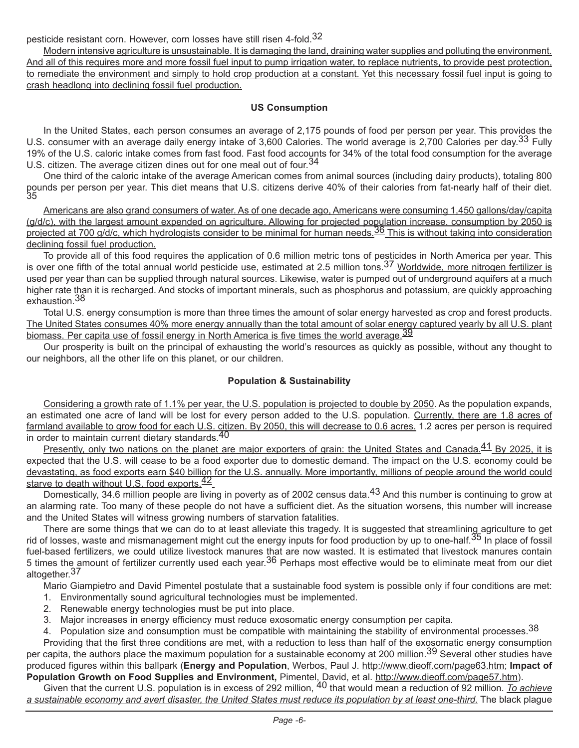pesticide resistant corn. However, corn losses have still risen 4-fold.<sup>32</sup>

Modern intensive agriculture is unsustainable. It is damaging the land, draining water supplies and polluting the environment. And all of this requires more and more fossil fuel input to pump irrigation water, to replace nutrients, to provide pest protection, to remediate the environment and simply to hold crop production at a constant. Yet this necessary fossil fuel input is going to crash headlong into declining fossil fuel production.

#### **US Consumption**

In the United States, each person consumes an average of 2,175 pounds of food per person per year. This provides the U.S. consumer with an average daily energy intake of 3,600 Calories. The world average is 2,700 Calories per day.<sup>33</sup> Fully 19% of the U.S. caloric intake comes from fast food. Fast food accounts for 34% of the total food consumption for the average U.S. citizen. The average citizen dines out for one meal out of four.<sup>34</sup>

One third of the caloric intake of the average American comes from animal sources (including dairy products), totaling 800 pounds per person per year. This diet means that U.S. citizens derive 40% of their calories from fat-nearly half of their diet. 35

Americans are also grand consumers of water. As of one decade ago, Americans were consuming 1,450 gallons/day/capita (g/d/c), with the largest amount expended on agriculture. Allowing for projected population increase, consumption by 2050 is projected at 700 g/d/c, which hydrologists consider to be minimal for human needs.<sup>36</sup> This is without taking into consideration declining fossil fuel production.

To provide all of this food requires the application of 0.6 million metric tons of pesticides in North America per year. This is over one fifth of the total annual world pesticide use, estimated at 2.5 million tons.<sup>37</sup> Worldwide, more nitrogen fertilizer is used per year than can be supplied through natural sources. Likewise, water is pumped out of underground aquifers at a much higher rate than it is recharged. And stocks of important minerals, such as phosphorus and potassium, are quickly approaching exhaustion.<sup>38</sup>

Total U.S. energy consumption is more than three times the amount of solar energy harvested as crop and forest products. The United States consumes 40% more energy annually than the total amount of solar energy captured yearly by all U.S. plant biomass. Per capita use of fossil energy in North America is five times the world average.  $39$ 

Our prosperity is built on the principal of exhausting the world's resources as quickly as possible, without any thought to our neighbors, all the other life on this planet, or our children.

#### **Population & Sustainability**

Considering a growth rate of 1.1% per year, the U.S. population is projected to double by 2050. As the population expands, an estimated one acre of land will be lost for every person added to the U.S. population. Currently, there are 1.8 acres of farmland available to grow food for each U.S. citizen. By 2050, this will decrease to 0.6 acres. 1.2 acres per person is required in order to maintain current dietary standards.<sup>40</sup>

Presently, only two nations on the planet are major exporters of grain: the United States and Canada.<sup>41</sup> By 2025, it is expected that the U.S. will cease to be a food exporter due to domestic demand. The impact on the U.S. economy could be devastating, as food exports earn \$40 billion for the U.S. annually. More importantly, millions of people around the world could starve to death without U.S. food exports.<sup>42</sup>

Domestically, 34.6 million people are living in poverty as of 2002 census data.<sup>43</sup> And this number is continuing to grow at an alarming rate. Too many of these people do not have a sufficient diet. As the situation worsens, this number will increase and the United States will witness growing numbers of starvation fatalities.

There are some things that we can do to at least alleviate this tragedy. It is suggested that streamlining agriculture to get rid of losses, waste and mismanagement might cut the energy inputs for food production by up to one-half.<sup>35</sup> In place of fossil fuel-based fertilizers, we could utilize livestock manures that are now wasted. It is estimated that livestock manures contain 5 times the amount of fertilizer currently used each year.<sup>36</sup> Perhaps most effective would be to eliminate meat from our diet altogether.<sup>37</sup>

Mario Giampietro and David Pimentel postulate that a sustainable food system is possible only if four conditions are met:

- 1. Environmentally sound agricultural technologies must be implemented.
- 2. Renewable energy technologies must be put into place.
- 3. Major increases in energy efficiency must reduce exosomatic energy consumption per capita.

4. Population size and consumption must be compatible with maintaining the stability of environmental processes. 38 Providing that the first three conditions are met, with a reduction to less than half of the exosomatic energy consumption

per capita, the authors place the maximum population for a sustainable economy at 200 million.<sup>39</sup> Several other studies have produced figures within this ballpark (**Energy and Population**, Werbos, Paul J. http://www.dieoff.com/page63.htm; **Impact of Population Growth on Food Supplies and Environment,** Pimentel, David, et al. http://www.dieoff.com/page57.htm).

Given that the current U.S. population is in excess of 292 million, 40 that would mean a reduction of 92 million. *To achieve a sustainable economy and avert disaster, the United States must reduce its population by at least one-third.* The black plague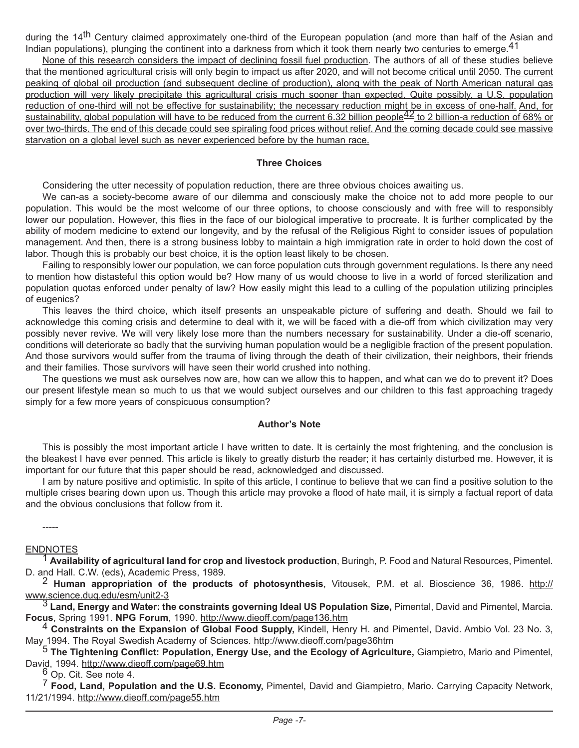during the 14<sup>th</sup> Century claimed approximately one-third of the European population (and more than half of the Asian and Indian populations), plunging the continent into a darkness from which it took them nearly two centuries to emerge. $41$ 

None of this research considers the impact of declining fossil fuel production. The authors of all of these studies believe that the mentioned agricultural crisis will only begin to impact us after 2020, and will not become critical until 2050. The current peaking of global oil production (and subsequent decline of production), along with the peak of North American natural gas production will very likely precipitate this agricultural crisis much sooner than expected. Quite possibly, a U.S. population reduction of one-third will not be effective for sustainability; the necessary reduction might be in excess of one-half. And, for sustainability, global population will have to be reduced from the current 6.32 billion people  $42$  to 2 billion-a reduction of 68% or over two-thirds. The end of this decade could see spiraling food prices without relief. And the coming decade could see massive starvation on a global level such as never experienced before by the human race.

#### **Three Choices**

Considering the utter necessity of population reduction, there are three obvious choices awaiting us.

We can-as a society-become aware of our dilemma and consciously make the choice not to add more people to our population. This would be the most welcome of our three options, to choose consciously and with free will to responsibly lower our population. However, this flies in the face of our biological imperative to procreate. It is further complicated by the ability of modern medicine to extend our longevity, and by the refusal of the Religious Right to consider issues of population management. And then, there is a strong business lobby to maintain a high immigration rate in order to hold down the cost of labor. Though this is probably our best choice, it is the option least likely to be chosen.

Failing to responsibly lower our population, we can force population cuts through government regulations. Is there any need to mention how distasteful this option would be? How many of us would choose to live in a world of forced sterilization and population quotas enforced under penalty of law? How easily might this lead to a culling of the population utilizing principles of eugenics?

This leaves the third choice, which itself presents an unspeakable picture of suffering and death. Should we fail to acknowledge this coming crisis and determine to deal with it, we will be faced with a die-off from which civilization may very possibly never revive. We will very likely lose more than the numbers necessary for sustainability. Under a die-off scenario, conditions will deteriorate so badly that the surviving human population would be a negligible fraction of the present population. And those survivors would suffer from the trauma of living through the death of their civilization, their neighbors, their friends and their families. Those survivors will have seen their world crushed into nothing.

The questions we must ask ourselves now are, how can we allow this to happen, and what can we do to prevent it? Does our present lifestyle mean so much to us that we would subject ourselves and our children to this fast approaching tragedy simply for a few more years of conspicuous consumption?

#### **Author's Note**

This is possibly the most important article I have written to date. It is certainly the most frightening, and the conclusion is the bleakest I have ever penned. This article is likely to greatly disturb the reader; it has certainly disturbed me. However, it is important for our future that this paper should be read, acknowledged and discussed.

I am by nature positive and optimistic. In spite of this article, I continue to believe that we can find a positive solution to the multiple crises bearing down upon us. Though this article may provoke a flood of hate mail, it is simply a factual report of data and the obvious conclusions that follow from it.

#### **ENDNOTES**

-----

1 **Availability of agricultural land for crop and livestock production**, Buringh, P. Food and Natural Resources, Pimentel.

D. and Hall. C.W. (eds), Academic Press, 1989.<br><sup>2</sup> **Human appropriation of the products of photosynthesis**, Vitousek, P.M. et al. Bioscience 36, 1986. http://<br>www.science.duq.edu/esm/unit2-3

<sup>3</sup> Land, Energy and Water: the constraints governing Ideal US Population Size, Pimental, David and Pimentel, Marcia. **Focus**, Spring 1991. **NPG Forum**, 1990. http://www.dieoff.com/page136.htm <sup>4</sup> **Constraints on the Expansion of Global Food Supply,** Kindell, Henry H. and Pimentel, David. Ambio Vol. 23 No. 3,

May 1994. The Royal Swedish Academy of Sciences. http://www.dieoff.com/page36htm <sup>5</sup> **The Tightening Conflict: Population, Energy Use, and the Ecology of Agriculture,** Giampietro, Mario and Pimentel,

David, 1994. http://www.dieoff.com/page69.htm 6 Op. Cit. See note 4.

7 **Food, Land, Population and the U.S. Economy,** Pimentel, David and Giampietro, Mario. Carrying Capacity Network, 11/21/1994. http://www.dieoff.com/page55.htm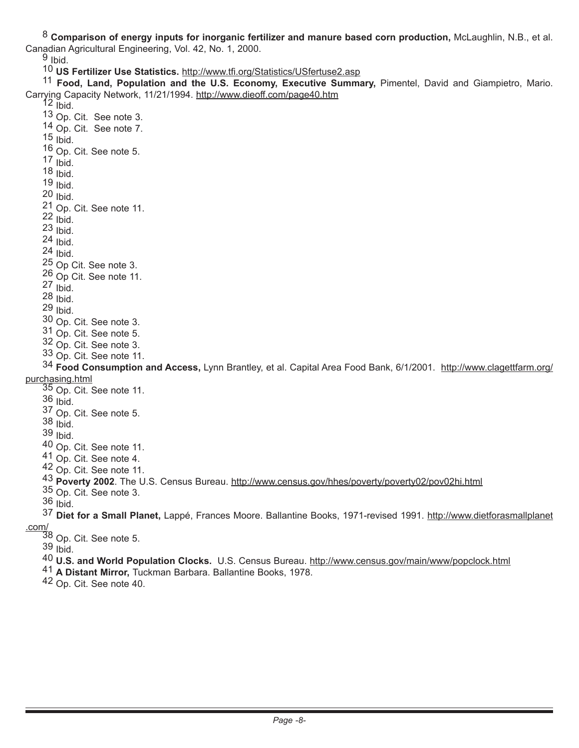8 **Comparison of energy inputs for inorganic fertilizer and manure based corn production,** McLaughlin, N.B., et al. Canadian Agricultural Engineering, Vol. 42, No. 1, 2000.<br><sup>9</sup> Ibid.<br><sup>10</sup> US Fertilizer Use Statistics. http://www.tfi.org/Statistics/USfertuse2.asp <sup>11</sup> Food, Land, Population and the U.S. Economy, Executive Summary, Pimentel, David and Giampietro, Mario. Carrying Capacity Network, 11/21/1994. http://www.dieoff.com/page40.htm 13 Op. Cit. See note 3. 14 Op. Cit. See note 7. 15 Ibid. 16 Op. Cit. See note 5. 17 Ibid. 18 Ibid. 19 Ibid. 20 Ibid. 21 Op. Cit. See note 11. 22 Ibid. 23 Ibid. 24 Ibid.  $24$  Ibid.<br> $25$  Op Cit. See note 3.  $26$  Op Cit. See note 11.  $27$  Ibid. 28 Ibid. 29 Ibid.<br>30 Op. Cit. See note 3. 31 Op. Cit. See note 5.<br>32 Op. Cit. See note 3.<br>33 Op. Cit. See note 11.<br><sup>34</sup> **Food Consumption and Access,** Lynn Brantley, et al. Capital Area Food Bank, 6/1/2001. http://www.clagettfarm.org/ purchasing.html<br>
35 Op. Cit. See note 11.<br>
36 Ibid.  $37$  Op. Cit. See note 5.  $38$  Ibid. 39 Ibid.<br>40 Op. Cit. See note 11. 41 Op. Cit. See note 4.<br>42 Op. Cit. See note 11.<br>43 **Poverty 2002**. The U.S. Census Bureau. http://www.census.gov/hhes/poverty/poverty02/pov02hi.html<br>35 Op. Cit. See note 3.<br>36 <sub>Ibid</sub>. 37 **Diet for a Small Planet,** Lappé, Frances Moore. Ballantine Books, 1971-revised 1991. http://www.dietforasmallplanet .com/ <sup>38</sup> Op. Cit. See note 5.<br><sup>39</sup> Ibid. <sup>40</sup> **U.S. and World Population Clocks.** U.S. Census Bureau. http://www.census.gov/main/www/popclock.html <sup>41</sup> **A Distant Mirror,** Tuckman Barbara. Ballantine Books, 1978.

- 
- 

42 Op. Cit. See note 40.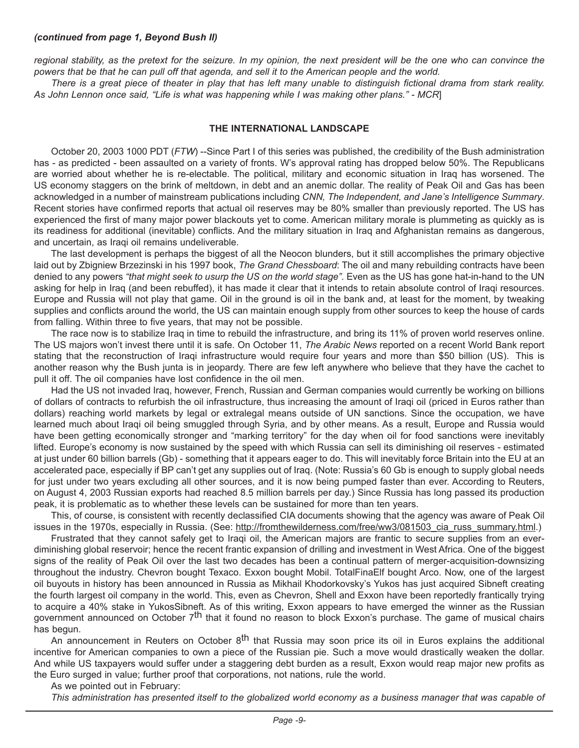#### *(continued from page 1, Beyond Bush II)*

*regional stability, as the pretext for the seizure. In my opinion, the next president will be the one who can convince the powers that be that he can pull off that agenda, and sell it to the American people and the world.*

*There is a great piece of theater in play that has left many unable to distinguish fictional drama from stark reality. As John Lennon once said, "Life is what was happening while I was making other plans." - MCR*]

#### **THE INTERNATIONAL LANDSCAPE**

October 20, 2003 1000 PDT (*FTW*) --Since Part I of this series was published, the credibility of the Bush administration has - as predicted - been assaulted on a variety of fronts. W's approval rating has dropped below 50%. The Republicans are worried about whether he is re-electable. The political, military and economic situation in Iraq has worsened. The US economy staggers on the brink of meltdown, in debt and an anemic dollar. The reality of Peak Oil and Gas has been acknowledged in a number of mainstream publications including *CNN, The Independent, and Jane's Intelligence Summary*. Recent stories have confirmed reports that actual oil reserves may be 80% smaller than previously reported. The US has experienced the first of many major power blackouts yet to come. American military morale is plummeting as quickly as is its readiness for additional (inevitable) conflicts. And the military situation in Iraq and Afghanistan remains as dangerous, and uncertain, as Iraqi oil remains undeliverable.

The last development is perhaps the biggest of all the Neocon blunders, but it still accomplishes the primary objective laid out by Zbigniew Brzezinski in his 1997 book, *The Grand Chessboard*: The oil and many rebuilding contracts have been denied to any powers *"that might seek to usurp the US on the world stage".* Even as the US has gone hat-in-hand to the UN asking for help in Iraq (and been rebuffed), it has made it clear that it intends to retain absolute control of Iraqi resources. Europe and Russia will not play that game. Oil in the ground is oil in the bank and, at least for the moment, by tweaking supplies and conflicts around the world, the US can maintain enough supply from other sources to keep the house of cards from falling. Within three to five years, that may not be possible.

The race now is to stabilize Iraq in time to rebuild the infrastructure, and bring its 11% of proven world reserves online. The US majors won't invest there until it is safe. On October 11, *The Arabic News* reported on a recent World Bank report stating that the reconstruction of Iraqi infrastructure would require four years and more than \$50 billion (US). This is another reason why the Bush junta is in jeopardy. There are few left anywhere who believe that they have the cachet to pull it off. The oil companies have lost confidence in the oil men.

Had the US not invaded Iraq, however, French, Russian and German companies would currently be working on billions of dollars of contracts to refurbish the oil infrastructure, thus increasing the amount of Iraqi oil (priced in Euros rather than dollars) reaching world markets by legal or extralegal means outside of UN sanctions. Since the occupation, we have learned much about Iraqi oil being smuggled through Syria, and by other means. As a result, Europe and Russia would have been getting economically stronger and "marking territory" for the day when oil for food sanctions were inevitably lifted. Europe's economy is now sustained by the speed with which Russia can sell its diminishing oil reserves - estimated at just under 60 billion barrels (Gb) - something that it appears eager to do. This will inevitably force Britain into the EU at an accelerated pace, especially if BP can't get any supplies out of Iraq. (Note: Russia's 60 Gb is enough to supply global needs for just under two years excluding all other sources, and it is now being pumped faster than ever. According to Reuters, on August 4, 2003 Russian exports had reached 8.5 million barrels per day.) Since Russia has long passed its production peak, it is problematic as to whether these levels can be sustained for more than ten years.

This, of course, is consistent with recently declassified CIA documents showing that the agency was aware of Peak Oil issues in the 1970s, especially in Russia. (See: http://fromthewilderness.com/free/ww3/081503 cia\_russ\_summary.html.)

Frustrated that they cannot safely get to Iraqi oil, the American majors are frantic to secure supplies from an everdiminishing global reservoir; hence the recent frantic expansion of drilling and investment in West Africa. One of the biggest signs of the reality of Peak Oil over the last two decades has been a continual pattern of merger-acquisition-downsizing throughout the industry. Chevron bought Texaco. Exxon bought Mobil. TotalFinaElf bought Arco. Now, one of the largest oil buyouts in history has been announced in Russia as Mikhail Khodorkovsky's Yukos has just acquired Sibneft creating the fourth largest oil company in the world. This, even as Chevron, Shell and Exxon have been reportedly frantically trying to acquire a 40% stake in YukosSibneft. As of this writing, Exxon appears to have emerged the winner as the Russian government announced on October 7<sup>th</sup> that it found no reason to block Exxon's purchase. The game of musical chairs has begun.

An announcement in Reuters on October 8<sup>th</sup> that Russia may soon price its oil in Euros explains the additional incentive for American companies to own a piece of the Russian pie. Such a move would drastically weaken the dollar. And while US taxpayers would suffer under a staggering debt burden as a result, Exxon would reap major new profits as the Euro surged in value; further proof that corporations, not nations, rule the world.

As we pointed out in February:

*This administration has presented itself to the globalized world economy as a business manager that was capable of*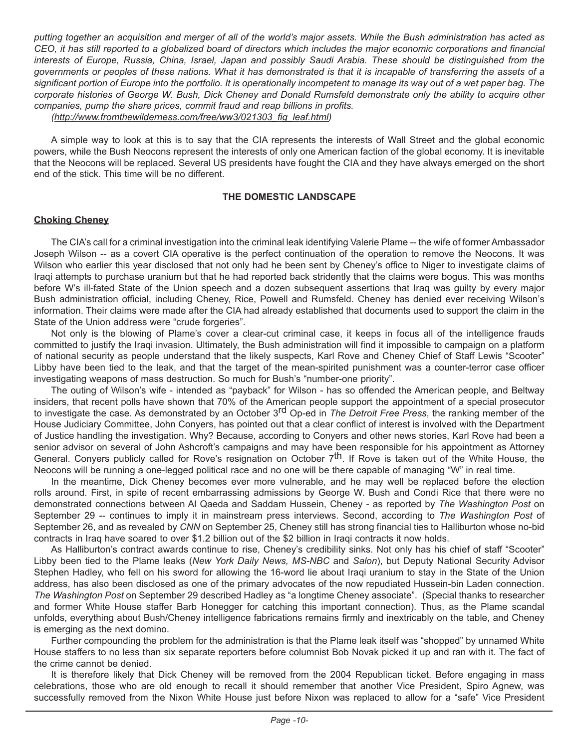*putting together an acquisition and merger of all of the world's major assets. While the Bush administration has acted as CEO, it has still reported to a globalized board of directors which includes the major economic corporations and financial interests of Europe, Russia, China, Israel, Japan and possibly Saudi Arabia. These should be distinguished from the governments or peoples of these nations. What it has demonstrated is that it is incapable of transferring the assets of a significant portion of Europe into the portfolio. It is operationally incompetent to manage its way out of a wet paper bag. The corporate histories of George W. Bush, Dick Cheney and Donald Rumsfeld demonstrate only the ability to acquire other companies, pump the share prices, commit fraud and reap billions in profits.* 

*(http://www.fromthewilderness.com/free/ww3/021303\_fig\_leaf.html)* 

A simple way to look at this is to say that the CIA represents the interests of Wall Street and the global economic powers, while the Bush Neocons represent the interests of only one American faction of the global economy. It is inevitable that the Neocons will be replaced. Several US presidents have fought the CIA and they have always emerged on the short end of the stick. This time will be no different.

#### **THE DOMESTIC LANDSCAPE**

#### **Choking Cheney**

The CIA's call for a criminal investigation into the criminal leak identifying Valerie Plame -- the wife of former Ambassador Joseph Wilson -- as a covert CIA operative is the perfect continuation of the operation to remove the Neocons. It was Wilson who earlier this year disclosed that not only had he been sent by Cheney's office to Niger to investigate claims of Iraqi attempts to purchase uranium but that he had reported back stridently that the claims were bogus. This was months before W's ill-fated State of the Union speech and a dozen subsequent assertions that Iraq was guilty by every major Bush administration official, including Cheney, Rice, Powell and Rumsfeld. Cheney has denied ever receiving Wilson's information. Their claims were made after the CIA had already established that documents used to support the claim in the State of the Union address were "crude forgeries".

Not only is the blowing of Plame's cover a clear-cut criminal case, it keeps in focus all of the intelligence frauds committed to justify the Iraqi invasion. Ultimately, the Bush administration will find it impossible to campaign on a platform of national security as people understand that the likely suspects, Karl Rove and Cheney Chief of Staff Lewis "Scooter" Libby have been tied to the leak, and that the target of the mean-spirited punishment was a counter-terror case officer investigating weapons of mass destruction. So much for Bush's "number-one priority".

The outing of Wilson's wife - intended as "payback" for Wilson - has so offended the American people, and Beltway insiders, that recent polls have shown that 70% of the American people support the appointment of a special prosecutor to investigate the case. As demonstrated by an October 3rd Op-ed in *The Detroit Free Press*, the ranking member of the House Judiciary Committee, John Conyers, has pointed out that a clear conflict of interest is involved with the Department of Justice handling the investigation. Why? Because, according to Conyers and other news stories, Karl Rove had been a senior advisor on several of John Ashcroft's campaigns and may have been responsible for his appointment as Attorney General. Conyers publicly called for Rove's resignation on October 7<sup>th</sup>. If Rove is taken out of the White House, the Neocons will be running a one-legged political race and no one will be there capable of managing "W" in real time.

In the meantime, Dick Cheney becomes ever more vulnerable, and he may well be replaced before the election rolls around. First, in spite of recent embarrassing admissions by George W. Bush and Condi Rice that there were no demonstrated connections between Al Qaeda and Saddam Hussein, Cheney - as reported by *The Washington Post* on September 29 -- continues to imply it in mainstream press interviews. Second, according to *The Washington Post* of September 26, and as revealed by *CNN* on September 25, Cheney still has strong financial ties to Halliburton whose no-bid contracts in Iraq have soared to over \$1.2 billion out of the \$2 billion in Iraqi contracts it now holds.

As Halliburton's contract awards continue to rise, Cheney's credibility sinks. Not only has his chief of staff "Scooter" Libby been tied to the Plame leaks (*New York Daily News, MS-NBC* and *Salon*), but Deputy National Security Advisor Stephen Hadley, who fell on his sword for allowing the 16-word lie about Iraqi uranium to stay in the State of the Union address, has also been disclosed as one of the primary advocates of the now repudiated Hussein-bin Laden connection. *The Washington Post* on September 29 described Hadley as "a longtime Cheney associate". (Special thanks to researcher and former White House staffer Barb Honegger for catching this important connection). Thus, as the Plame scandal unfolds, everything about Bush/Cheney intelligence fabrications remains firmly and inextricably on the table, and Cheney is emerging as the next domino.

Further compounding the problem for the administration is that the Plame leak itself was "shopped" by unnamed White House staffers to no less than six separate reporters before columnist Bob Novak picked it up and ran with it. The fact of the crime cannot be denied.

It is therefore likely that Dick Cheney will be removed from the 2004 Republican ticket. Before engaging in mass celebrations, those who are old enough to recall it should remember that another Vice President, Spiro Agnew, was successfully removed from the Nixon White House just before Nixon was replaced to allow for a "safe" Vice President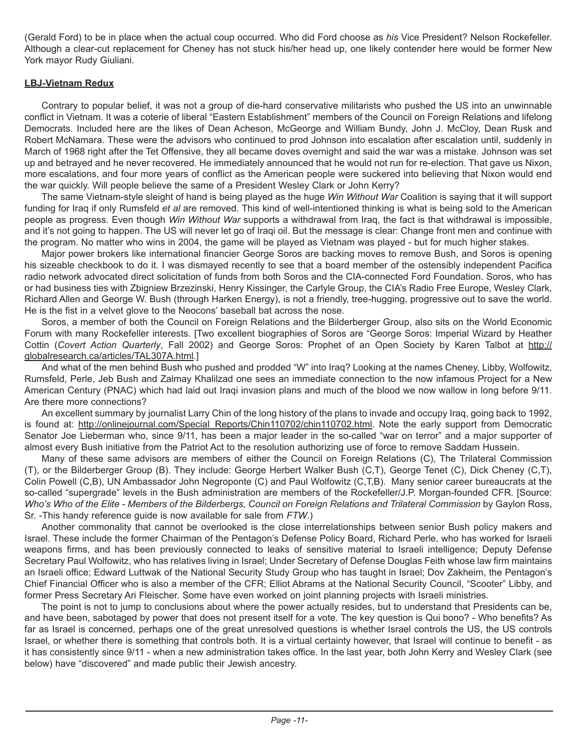(Gerald Ford) to be in place when the actual coup occurred. Who did Ford choose as *his* Vice President? Nelson Rockefeller. Although a clear-cut replacement for Cheney has not stuck his/her head up, one likely contender here would be former New York mayor Rudy Giuliani.

#### **LBJ-Vietnam Redux**

Contrary to popular belief, it was not a group of die-hard conservative militarists who pushed the US into an unwinnable conflict in Vietnam. It was a coterie of liberal "Eastern Establishment" members of the Council on Foreign Relations and lifelong Democrats. Included here are the likes of Dean Acheson, McGeorge and William Bundy, John J. McCloy, Dean Rusk and Robert McNamara. These were the advisors who continued to prod Johnson into escalation after escalation until, suddenly in March of 1968 right after the Tet Offensive, they all became doves overnight and said the war was a mistake. Johnson was set up and betrayed and he never recovered. He immediately announced that he would not run for re-election. That gave us Nixon, more escalations, and four more years of conflict as the American people were suckered into believing that Nixon would end the war quickly. Will people believe the same of a President Wesley Clark or John Kerry?

The same Vietnam-style sleight of hand is being played as the huge *Win Without War* Coalition is saying that it will support funding for Iraq if only Rumsfeld *et al* are removed. This kind of well-intentioned thinking is what is being sold to the American people as progress. Even though *Win Without War* supports a withdrawal from Iraq, the fact is that withdrawal is impossible, and it's not going to happen. The US will never let go of Iraqi oil. But the message is clear: Change front men and continue with the program. No matter who wins in 2004, the game will be played as Vietnam was played - but for much higher stakes.

Major power brokers like international financier George Soros are backing moves to remove Bush, and Soros is opening his sizeable checkbook to do it. I was dismayed recently to see that a board member of the ostensibly independent Pacifica radio network advocated direct solicitation of funds from both Soros and the CIA-connected Ford Foundation. Soros, who has or had business ties with Zbigniew Brzezinski, Henry Kissinger, the Carlyle Group, the CIA's Radio Free Europe, Wesley Clark, Richard Allen and George W. Bush (through Harken Energy), is not a friendly, tree-hugging, progressive out to save the world. He is the fist in a velvet glove to the Neocons' baseball bat across the nose.

Soros, a member of both the Council on Foreign Relations and the Bilderberger Group, also sits on the World Economic Forum with many Rockefeller interests. [Two excellent biographies of Soros are "George Soros: Imperial Wizard by Heather Cottin (*Covert Action Quarterly*, Fall 2002) and George Soros: Prophet of an Open Society by Karen Talbot at http:// globalresearch.ca/articles/TAL307A.html.]

And what of the men behind Bush who pushed and prodded "W" into Iraq? Looking at the names Cheney, Libby, Wolfowitz, Rumsfeld, Perle, Jeb Bush and Zalmay Khalilzad one sees an immediate connection to the now infamous Project for a New American Century (PNAC) which had laid out Iraqi invasion plans and much of the blood we now wallow in long before 9/11. Are there more connections?

An excellent summary by journalist Larry Chin of the long history of the plans to invade and occupy Iraq, going back to 1992, is found at: http://onlinejournal.com/Special\_Reports/Chin110702/chin110702.html. Note the early support from Democratic Senator Joe Lieberman who, since 9/11, has been a major leader in the so-called "war on terror" and a major supporter of almost every Bush initiative from the Patriot Act to the resolution authorizing use of force to remove Saddam Hussein.

Many of these same advisors are members of either the Council on Foreign Relations (C), The Trilateral Commission (T), or the Bilderberger Group (B). They include: George Herbert Walker Bush (C,T), George Tenet (C), Dick Cheney (C,T), Colin Powell (C,B), UN Ambassador John Negroponte (C) and Paul Wolfowitz (C,T,B). Many senior career bureaucrats at the so-called "supergrade" levels in the Bush administration are members of the Rockefeller/J.P. Morgan-founded CFR. [Source: *Who's Who of the Elite - Members of the Bilderbergs, Council on Foreign Relations and Trilateral Commission* by Gaylon Ross, Sr. -This handy reference guide is now available for sale from *FTW*.)

Another commonality that cannot be overlooked is the close interrelationships between senior Bush policy makers and Israel. These include the former Chairman of the Pentagon's Defense Policy Board, Richard Perle, who has worked for Israeli weapons firms, and has been previously connected to leaks of sensitive material to Israeli intelligence; Deputy Defense Secretary Paul Wolfowitz, who has relatives living in Israel; Under Secretary of Defense Douglas Feith whose law firm maintains an Israeli office; Edward Luttwak of the National Security Study Group who has taught in Israel; Dov Zakheim, the Pentagon's Chief Financial Officer who is also a member of the CFR; Elliot Abrams at the National Security Council, "Scooter" Libby, and former Press Secretary Ari Fleischer. Some have even worked on joint planning projects with Israeli ministries.

The point is not to jump to conclusions about where the power actually resides, but to understand that Presidents can be, and have been, sabotaged by power that does not present itself for a vote. The key question is Qui bono? - Who benefits? As far as Israel is concerned, perhaps one of the great unresolved questions is whether Israel controls the US, the US controls Israel, or whether there is something that controls both. It is a virtual certainty however, that Israel will continue to benefit - as it has consistently since 9/11 - when a new administration takes office. In the last year, both John Kerry and Wesley Clark (see below) have "discovered" and made public their Jewish ancestry.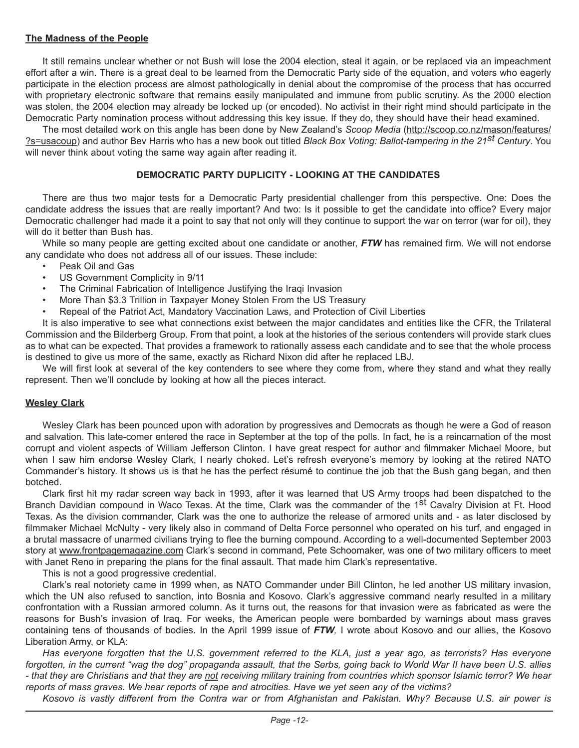#### **The Madness of the People**

It still remains unclear whether or not Bush will lose the 2004 election, steal it again, or be replaced via an impeachment effort after a win. There is a great deal to be learned from the Democratic Party side of the equation, and voters who eagerly participate in the election process are almost pathologically in denial about the compromise of the process that has occurred with proprietary electronic software that remains easily manipulated and immune from public scrutiny. As the 2000 election was stolen, the 2004 election may already be locked up (or encoded). No activist in their right mind should participate in the Democratic Party nomination process without addressing this key issue. If they do, they should have their head examined.

The most detailed work on this angle has been done by New Zealand's *Scoop Media* (http://scoop.co.nz/mason/features/ ?s=usacoup) and author Bev Harris who has a new book out titled *Black Box Voting: Ballot-tampering in the 21st Century*. You will never think about voting the same way again after reading it.

#### **DEMOCRATIC PARTY DUPLICITY - LOOKING AT THE CANDIDATES**

There are thus two major tests for a Democratic Party presidential challenger from this perspective. One: Does the candidate address the issues that are really important? And two: Is it possible to get the candidate into office? Every major Democratic challenger had made it a point to say that not only will they continue to support the war on terror (war for oil), they will do it better than Bush has.

While so many people are getting excited about one candidate or another, *FTW* has remained firm. We will not endorse any candidate who does not address all of our issues. These include:

- Peak Oil and Gas
- US Government Complicity in 9/11
- The Criminal Fabrication of Intelligence Justifying the Iraqi Invasion
- More Than \$3.3 Trillion in Taxpayer Money Stolen From the US Treasury
- Repeal of the Patriot Act, Mandatory Vaccination Laws, and Protection of Civil Liberties

It is also imperative to see what connections exist between the major candidates and entities like the CFR, the Trilateral Commission and the Bilderberg Group. From that point, a look at the histories of the serious contenders will provide stark clues as to what can be expected. That provides a framework to rationally assess each candidate and to see that the whole process is destined to give us more of the same, exactly as Richard Nixon did after he replaced LBJ.

We will first look at several of the key contenders to see where they come from, where they stand and what they really represent. Then we'll conclude by looking at how all the pieces interact.

#### **Wesley Clark**

Wesley Clark has been pounced upon with adoration by progressives and Democrats as though he were a God of reason and salvation. This late-comer entered the race in September at the top of the polls. In fact, he is a reincarnation of the most corrupt and violent aspects of William Jefferson Clinton. I have great respect for author and filmmaker Michael Moore, but when I saw him endorse Wesley Clark, I nearly choked. Let's refresh everyone's memory by looking at the retired NATO Commander's history. It shows us is that he has the perfect résumé to continue the job that the Bush gang began, and then botched.

Clark first hit my radar screen way back in 1993, after it was learned that US Army troops had been dispatched to the Branch Davidian compound in Waco Texas. At the time, Clark was the commander of the 1<sup>st</sup> Cavalry Division at Ft. Hood Texas. As the division commander, Clark was the one to authorize the release of armored units and - as later disclosed by filmmaker Michael McNulty - very likely also in command of Delta Force personnel who operated on his turf, and engaged in a brutal massacre of unarmed civilians trying to flee the burning compound. According to a well-documented September 2003 story at www.frontpagemagazine.com Clark's second in command, Pete Schoomaker, was one of two military officers to meet with Janet Reno in preparing the plans for the final assault. That made him Clark's representative.

This is not a good progressive credential.

Clark's real notoriety came in 1999 when, as NATO Commander under Bill Clinton, he led another US military invasion, which the UN also refused to sanction, into Bosnia and Kosovo. Clark's aggressive command nearly resulted in a military confrontation with a Russian armored column. As it turns out, the reasons for that invasion were as fabricated as were the reasons for Bush's invasion of Iraq. For weeks, the American people were bombarded by warnings about mass graves containing tens of thousands of bodies. In the April 1999 issue of *FTW,* I wrote about Kosovo and our allies, the Kosovo Liberation Army, or KLA:

*Has everyone forgotten that the U.S. government referred to the KLA, just a year ago, as terrorists? Has everyone forgotten, in the current "wag the dog" propaganda assault, that the Serbs, going back to World War II have been U.S. allies - that they are Christians and that they are not receiving military training from countries which sponsor Islamic terror? We hear reports of mass graves. We hear reports of rape and atrocities. Have we yet seen any of the victims?* 

*Kosovo is vastly different from the Contra war or from Afghanistan and Pakistan. Why? Because U.S. air power is*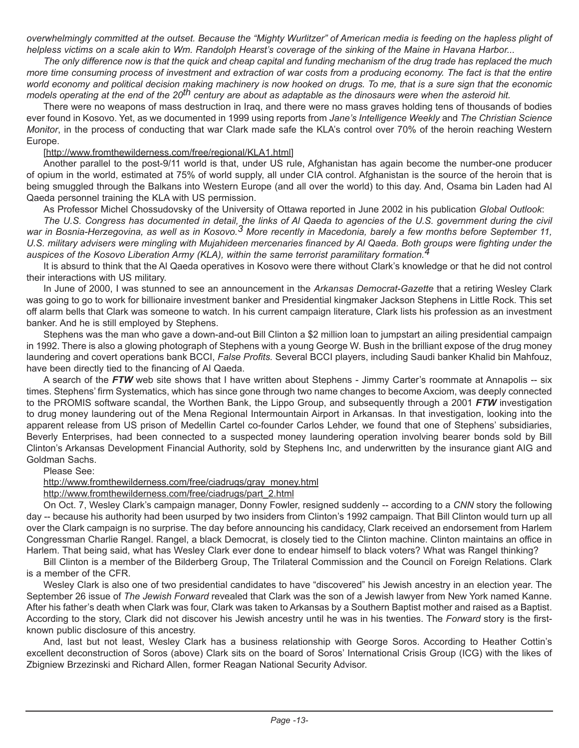*overwhelmingly committed at the outset. Because the "Mighty Wurlitzer" of American media is feeding on the hapless plight of helpless victims on a scale akin to Wm. Randolph Hearst's coverage of the sinking of the Maine in Havana Harbor...*

*The only difference now is that the quick and cheap capital and funding mechanism of the drug trade has replaced the much more time consuming process of investment and extraction of war costs from a producing economy. The fact is that the entire world economy and political decision making machinery is now hooked on drugs. To me, that is a sure sign that the economic models operating at the end of the 20th century are about as adaptable as the dinosaurs were when the asteroid hit.* 

There were no weapons of mass destruction in Iraq, and there were no mass graves holding tens of thousands of bodies ever found in Kosovo. Yet, as we documented in 1999 using reports from *Jane's Intelligence Weekly* and *The Christian Science Monitor*, in the process of conducting that war Clark made safe the KLA's control over 70% of the heroin reaching Western Europe.

#### [http://www.fromthewilderness.com/free/regional/KLA1.html]

Another parallel to the post-9/11 world is that, under US rule, Afghanistan has again become the number-one producer of opium in the world, estimated at 75% of world supply, all under CIA control. Afghanistan is the source of the heroin that is being smuggled through the Balkans into Western Europe (and all over the world) to this day. And, Osama bin Laden had Al Qaeda personnel training the KLA with US permission.

As Professor Michel Chossudovsky of the University of Ottawa reported in June 2002 in his publication *Global Outlook*:

The U.S. Congress has documented in detail, the links of AI Qaeda to agencies of the U.S. government during the civil *war in Bosnia-Herzegovina, as well as in Kosovo.3 More recently in Macedonia, barely a few months before September 11, U.S. military advisers were mingling with Mujahideen mercenaries financed by Al Qaeda. Both groups were fighting under the auspices of the Kosovo Liberation Army (KLA), within the same terrorist paramilitary formation.4*

It is absurd to think that the Al Qaeda operatives in Kosovo were there without Clark's knowledge or that he did not control their interactions with US military.

In June of 2000, I was stunned to see an announcement in the *Arkansas Democrat-Gazette* that a retiring Wesley Clark was going to go to work for billionaire investment banker and Presidential kingmaker Jackson Stephens in Little Rock. This set off alarm bells that Clark was someone to watch. In his current campaign literature, Clark lists his profession as an investment banker. And he is still employed by Stephens.

Stephens was the man who gave a down-and-out Bill Clinton a \$2 million loan to jumpstart an ailing presidential campaign in 1992. There is also a glowing photograph of Stephens with a young George W. Bush in the brilliant expose of the drug money laundering and covert operations bank BCCI, *False Profits.* Several BCCI players, including Saudi banker Khalid bin Mahfouz, have been directly tied to the financing of Al Qaeda.

A search of the **FTW** web site shows that I have written about Stephens - Jimmy Carter's roommate at Annapolis -- six times. Stephens' firm Systematics, which has since gone through two name changes to become Axciom, was deeply connected to the PROMIS software scandal, the Worthen Bank, the Lippo Group, and subsequently through a 2001 *FTW* investigation to drug money laundering out of the Mena Regional Intermountain Airport in Arkansas. In that investigation, looking into the apparent release from US prison of Medellin Cartel co-founder Carlos Lehder, we found that one of Stephens' subsidiaries, Beverly Enterprises, had been connected to a suspected money laundering operation involving bearer bonds sold by Bill Clinton's Arkansas Development Financial Authority, sold by Stephens Inc, and underwritten by the insurance giant AIG and Goldman Sachs.

Please See:

http://www.fromthewilderness.com/free/ciadrugs/gray\_money.html

http://www.fromthewilderness.com/free/ciadrugs/part\_2.html

On Oct. 7, Wesley Clark's campaign manager, Donny Fowler, resigned suddenly -- according to a *CNN* story the following day -- because his authority had been usurped by two insiders from Clinton's 1992 campaign. That Bill Clinton would turn up all over the Clark campaign is no surprise. The day before announcing his candidacy, Clark received an endorsement from Harlem Congressman Charlie Rangel. Rangel, a black Democrat, is closely tied to the Clinton machine. Clinton maintains an office in Harlem. That being said, what has Wesley Clark ever done to endear himself to black voters? What was Rangel thinking?

Bill Clinton is a member of the Bilderberg Group, The Trilateral Commission and the Council on Foreign Relations. Clark is a member of the CFR.

Wesley Clark is also one of two presidential candidates to have "discovered" his Jewish ancestry in an election year. The September 26 issue of *The Jewish Forward* revealed that Clark was the son of a Jewish lawyer from New York named Kanne. After his father's death when Clark was four, Clark was taken to Arkansas by a Southern Baptist mother and raised as a Baptist. According to the story, Clark did not discover his Jewish ancestry until he was in his twenties. The *Forward* story is the firstknown public disclosure of this ancestry.

And, last but not least, Wesley Clark has a business relationship with George Soros. According to Heather Cottin's excellent deconstruction of Soros (above) Clark sits on the board of Soros' International Crisis Group (ICG) with the likes of Zbigniew Brzezinski and Richard Allen, former Reagan National Security Advisor.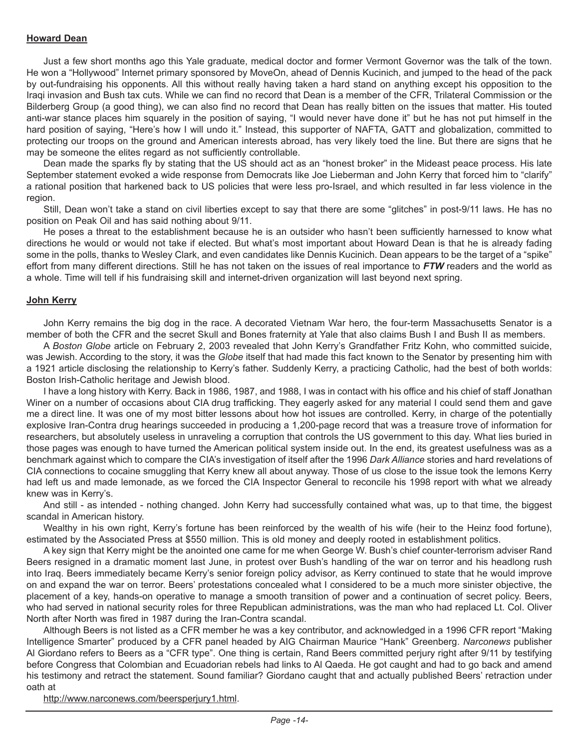#### **Howard Dean**

Just a few short months ago this Yale graduate, medical doctor and former Vermont Governor was the talk of the town. He won a "Hollywood" Internet primary sponsored by MoveOn, ahead of Dennis Kucinich, and jumped to the head of the pack by out-fundraising his opponents. All this without really having taken a hard stand on anything except his opposition to the Iraqi invasion and Bush tax cuts. While we can find no record that Dean is a member of the CFR, Trilateral Commission or the Bilderberg Group (a good thing), we can also find no record that Dean has really bitten on the issues that matter. His touted anti-war stance places him squarely in the position of saying, "I would never have done it" but he has not put himself in the hard position of saying, "Here's how I will undo it." Instead, this supporter of NAFTA, GATT and globalization, committed to protecting our troops on the ground and American interests abroad, has very likely toed the line. But there are signs that he may be someone the elites regard as not sufficiently controllable.

Dean made the sparks fly by stating that the US should act as an "honest broker" in the Mideast peace process. His late September statement evoked a wide response from Democrats like Joe Lieberman and John Kerry that forced him to "clarify" a rational position that harkened back to US policies that were less pro-Israel, and which resulted in far less violence in the region.

Still, Dean won't take a stand on civil liberties except to say that there are some "glitches" in post-9/11 laws. He has no position on Peak Oil and has said nothing about 9/11.

He poses a threat to the establishment because he is an outsider who hasn't been sufficiently harnessed to know what directions he would or would not take if elected. But what's most important about Howard Dean is that he is already fading some in the polls, thanks to Wesley Clark, and even candidates like Dennis Kucinich. Dean appears to be the target of a "spike" effort from many different directions. Still he has not taken on the issues of real importance to *FTW* readers and the world as a whole. Time will tell if his fundraising skill and internet-driven organization will last beyond next spring.

#### **John Kerry**

John Kerry remains the big dog in the race. A decorated Vietnam War hero, the four-term Massachusetts Senator is a member of both the CFR and the secret Skull and Bones fraternity at Yale that also claims Bush I and Bush II as members.

A *Boston Globe* article on February 2, 2003 revealed that John Kerry's Grandfather Fritz Kohn, who committed suicide, was Jewish. According to the story, it was the *Globe* itself that had made this fact known to the Senator by presenting him with a 1921 article disclosing the relationship to Kerry's father. Suddenly Kerry, a practicing Catholic, had the best of both worlds: Boston Irish-Catholic heritage and Jewish blood.

I have a long history with Kerry. Back in 1986, 1987, and 1988, I was in contact with his office and his chief of staff Jonathan Winer on a number of occasions about CIA drug trafficking. They eagerly asked for any material I could send them and gave me a direct line. It was one of my most bitter lessons about how hot issues are controlled. Kerry, in charge of the potentially explosive Iran-Contra drug hearings succeeded in producing a 1,200-page record that was a treasure trove of information for researchers, but absolutely useless in unraveling a corruption that controls the US government to this day. What lies buried in those pages was enough to have turned the American political system inside out. In the end, its greatest usefulness was as a benchmark against which to compare the CIA's investigation of itself after the 1996 *Dark Alliance* stories and hard revelations of CIA connections to cocaine smuggling that Kerry knew all about anyway. Those of us close to the issue took the lemons Kerry had left us and made lemonade, as we forced the CIA Inspector General to reconcile his 1998 report with what we already knew was in Kerry's.

And still - as intended - nothing changed. John Kerry had successfully contained what was, up to that time, the biggest scandal in American history.

Wealthy in his own right, Kerry's fortune has been reinforced by the wealth of his wife (heir to the Heinz food fortune), estimated by the Associated Press at \$550 million. This is old money and deeply rooted in establishment politics.

A key sign that Kerry might be the anointed one came for me when George W. Bush's chief counter-terrorism adviser Rand Beers resigned in a dramatic moment last June, in protest over Bush's handling of the war on terror and his headlong rush into Iraq. Beers immediately became Kerry's senior foreign policy advisor, as Kerry continued to state that he would improve on and expand the war on terror. Beers' protestations concealed what I considered to be a much more sinister objective, the placement of a key, hands-on operative to manage a smooth transition of power and a continuation of secret policy. Beers, who had served in national security roles for three Republican administrations, was the man who had replaced Lt. Col. Oliver North after North was fired in 1987 during the Iran-Contra scandal.

Although Beers is not listed as a CFR member he was a key contributor, and acknowledged in a 1996 CFR report "Making Intelligence Smarter" produced by a CFR panel headed by AIG Chairman Maurice "Hank" Greenberg. *Narconews* publisher Al Giordano refers to Beers as a "CFR type". One thing is certain, Rand Beers committed perjury right after 9/11 by testifying before Congress that Colombian and Ecuadorian rebels had links to Al Qaeda. He got caught and had to go back and amend his testimony and retract the statement. Sound familiar? Giordano caught that and actually published Beers' retraction under oath at

http://www.narconews.com/beersperjury1.html.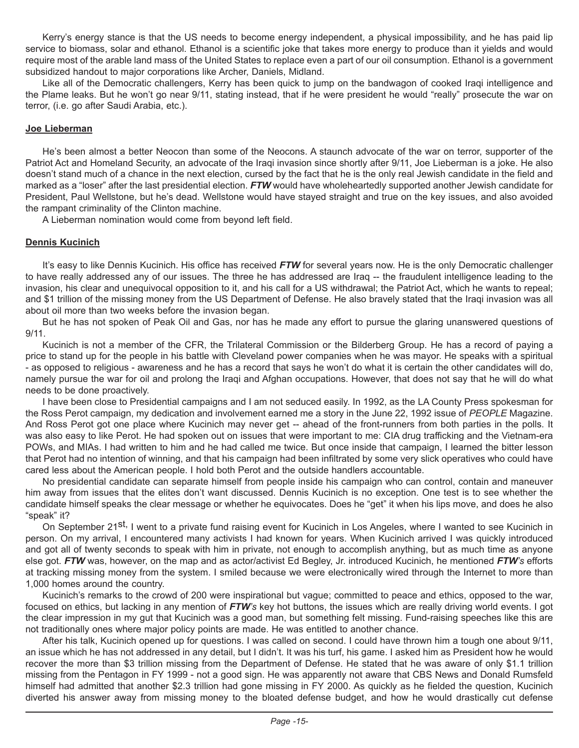Kerry's energy stance is that the US needs to become energy independent, a physical impossibility, and he has paid lip service to biomass, solar and ethanol. Ethanol is a scientific joke that takes more energy to produce than it yields and would require most of the arable land mass of the United States to replace even a part of our oil consumption. Ethanol is a government subsidized handout to major corporations like Archer, Daniels, Midland.

Like all of the Democratic challengers, Kerry has been quick to jump on the bandwagon of cooked Iraqi intelligence and the Plame leaks. But he won't go near 9/11, stating instead, that if he were president he would "really" prosecute the war on terror, (i.e. go after Saudi Arabia, etc.).

#### **Joe Lieberman**

He's been almost a better Neocon than some of the Neocons. A staunch advocate of the war on terror, supporter of the Patriot Act and Homeland Security, an advocate of the Iraqi invasion since shortly after 9/11, Joe Lieberman is a joke. He also doesn't stand much of a chance in the next election, cursed by the fact that he is the only real Jewish candidate in the field and marked as a "loser" after the last presidential election. *FTW* would have wholeheartedly supported another Jewish candidate for President, Paul Wellstone, but he's dead. Wellstone would have stayed straight and true on the key issues, and also avoided the rampant criminality of the Clinton machine.

A Lieberman nomination would come from beyond left field.

#### **Dennis Kucinich**

It's easy to like Dennis Kucinich. His office has received FTW for several years now. He is the only Democratic challenger to have really addressed any of our issues. The three he has addressed are Iraq -- the fraudulent intelligence leading to the invasion, his clear and unequivocal opposition to it, and his call for a US withdrawal; the Patriot Act, which he wants to repeal; and \$1 trillion of the missing money from the US Department of Defense. He also bravely stated that the Iraqi invasion was all about oil more than two weeks before the invasion began.

But he has not spoken of Peak Oil and Gas, nor has he made any effort to pursue the glaring unanswered questions of 9/11.

Kucinich is not a member of the CFR, the Trilateral Commission or the Bilderberg Group. He has a record of paying a price to stand up for the people in his battle with Cleveland power companies when he was mayor. He speaks with a spiritual - as opposed to religious - awareness and he has a record that says he won't do what it is certain the other candidates will do, namely pursue the war for oil and prolong the Iraqi and Afghan occupations. However, that does not say that he will do what needs to be done proactively.

I have been close to Presidential campaigns and I am not seduced easily. In 1992, as the LA County Press spokesman for the Ross Perot campaign, my dedication and involvement earned me a story in the June 22, 1992 issue of *PEOPLE* Magazine. And Ross Perot got one place where Kucinich may never get -- ahead of the front-runners from both parties in the polls. It was also easy to like Perot. He had spoken out on issues that were important to me: CIA drug trafficking and the Vietnam-era POWs, and MIAs. I had written to him and he had called me twice. But once inside that campaign, I learned the bitter lesson that Perot had no intention of winning, and that his campaign had been infiltrated by some very slick operatives who could have cared less about the American people. I hold both Perot and the outside handlers accountable.

No presidential candidate can separate himself from people inside his campaign who can control, contain and maneuver him away from issues that the elites don't want discussed. Dennis Kucinich is no exception. One test is to see whether the candidate himself speaks the clear message or whether he equivocates. Does he "get" it when his lips move, and does he also "speak" it?

On September 21<sup>st,</sup> I went to a private fund raising event for Kucinich in Los Angeles, where I wanted to see Kucinich in person. On my arrival, I encountered many activists I had known for years. When Kucinich arrived I was quickly introduced and got all of twenty seconds to speak with him in private, not enough to accomplish anything, but as much time as anyone else got. *FTW* was, however, on the map and as actor/activist Ed Begley, Jr. introduced Kucinich, he mentioned *FTW's* efforts at tracking missing money from the system. I smiled because we were electronically wired through the Internet to more than 1,000 homes around the country.

Kucinich's remarks to the crowd of 200 were inspirational but vague; committed to peace and ethics, opposed to the war, focused on ethics, but lacking in any mention of *FTW's* key hot buttons, the issues which are really driving world events. I got the clear impression in my gut that Kucinich was a good man, but something felt missing. Fund-raising speeches like this are not traditionally ones where major policy points are made. He was entitled to another chance.

After his talk, Kucinich opened up for questions. I was called on second. I could have thrown him a tough one about 9/11, an issue which he has not addressed in any detail, but I didn't. It was his turf, his game. I asked him as President how he would recover the more than \$3 trillion missing from the Department of Defense. He stated that he was aware of only \$1.1 trillion missing from the Pentagon in FY 1999 - not a good sign. He was apparently not aware that CBS News and Donald Rumsfeld himself had admitted that another \$2.3 trillion had gone missing in FY 2000. As quickly as he fielded the question, Kucinich diverted his answer away from missing money to the bloated defense budget, and how he would drastically cut defense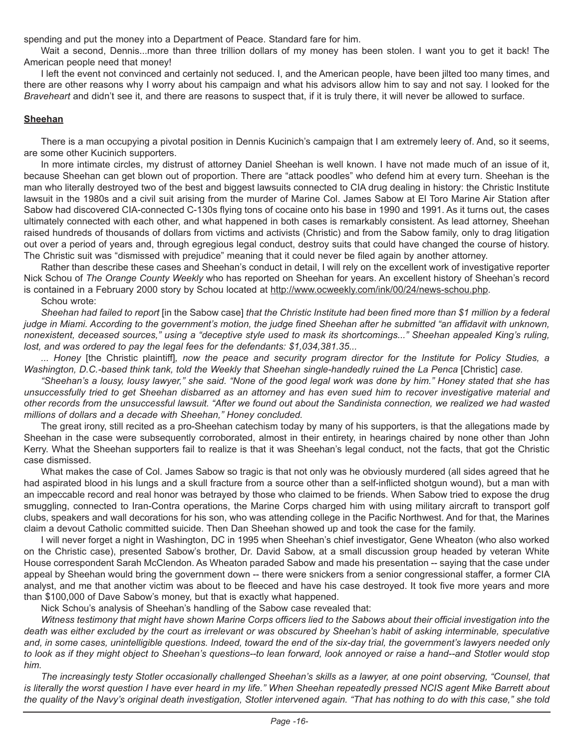spending and put the money into a Department of Peace. Standard fare for him.

Wait a second, Dennis...more than three trillion dollars of my money has been stolen. I want you to get it back! The American people need that money!

I left the event not convinced and certainly not seduced. I, and the American people, have been jilted too many times, and there are other reasons why I worry about his campaign and what his advisors allow him to say and not say. I looked for the *Braveheart* and didn't see it, and there are reasons to suspect that, if it is truly there, it will never be allowed to surface.

#### **Sheehan**

There is a man occupying a pivotal position in Dennis Kucinich's campaign that I am extremely leery of. And, so it seems, are some other Kucinich supporters.

In more intimate circles, my distrust of attorney Daniel Sheehan is well known. I have not made much of an issue of it, because Sheehan can get blown out of proportion. There are "attack poodles" who defend him at every turn. Sheehan is the man who literally destroyed two of the best and biggest lawsuits connected to CIA drug dealing in history: the Christic Institute lawsuit in the 1980s and a civil suit arising from the murder of Marine Col. James Sabow at El Toro Marine Air Station after Sabow had discovered CIA-connected C-130s flying tons of cocaine onto his base in 1990 and 1991. As it turns out, the cases ultimately connected with each other, and what happened in both cases is remarkably consistent. As lead attorney, Sheehan raised hundreds of thousands of dollars from victims and activists (Christic) and from the Sabow family, only to drag litigation out over a period of years and, through egregious legal conduct, destroy suits that could have changed the course of history. The Christic suit was "dismissed with prejudice" meaning that it could never be filed again by another attorney.

Rather than describe these cases and Sheehan's conduct in detail, I will rely on the excellent work of investigative reporter Nick Schou of *The Orange County Weekly* who has reported on Sheehan for years. An excellent history of Sheehan's record is contained in a February 2000 story by Schou located at http://www.ocweekly.com/ink/00/24/news-schou.php.

Schou wrote:

*Sheehan had failed to report* [in the Sabow case] *that the Christic Institute had been fined more than \$1 million by a federal judge in Miami. According to the government's motion, the judge fined Sheehan after he submitted "an affidavit with unknown, nonexistent, deceased sources," using a "deceptive style used to mask its shortcomings..." Sheehan appealed King's ruling, lost, and was ordered to pay the legal fees for the defendants: \$1,034,381.35...*

*... Honey* [the Christic plaintiff]*, now the peace and security program director for the Institute for Policy Studies, a Washington, D.C.-based think tank, told the Weekly that Sheehan single-handedly ruined the La Penca [Christic] case.* 

*"Sheehan's a lousy, lousy lawyer," she said. "None of the good legal work was done by him." Honey stated that she has unsuccessfully tried to get Sheehan disbarred as an attorney and has even sued him to recover investigative material and other records from the unsuccessful lawsuit. "After we found out about the Sandinista connection, we realized we had wasted millions of dollars and a decade with Sheehan," Honey concluded.*

The great irony, still recited as a pro-Sheehan catechism today by many of his supporters, is that the allegations made by Sheehan in the case were subsequently corroborated, almost in their entirety, in hearings chaired by none other than John Kerry. What the Sheehan supporters fail to realize is that it was Sheehan's legal conduct, not the facts, that got the Christic case dismissed.

What makes the case of Col. James Sabow so tragic is that not only was he obviously murdered (all sides agreed that he had aspirated blood in his lungs and a skull fracture from a source other than a self-inflicted shotgun wound), but a man with an impeccable record and real honor was betrayed by those who claimed to be friends. When Sabow tried to expose the drug smuggling, connected to Iran-Contra operations, the Marine Corps charged him with using military aircraft to transport golf clubs, speakers and wall decorations for his son, who was attending college in the Pacific Northwest. And for that, the Marines claim a devout Catholic committed suicide. Then Dan Sheehan showed up and took the case for the family.

I will never forget a night in Washington, DC in 1995 when Sheehan's chief investigator, Gene Wheaton (who also worked on the Christic case), presented Sabow's brother, Dr. David Sabow, at a small discussion group headed by veteran White House correspondent Sarah McClendon. As Wheaton paraded Sabow and made his presentation -- saying that the case under appeal by Sheehan would bring the government down -- there were snickers from a senior congressional staffer, a former CIA analyst, and me that another victim was about to be fleeced and have his case destroyed. It took five more years and more than \$100,000 of Dave Sabow's money, but that is exactly what happened.

Nick Schou's analysis of Sheehan's handling of the Sabow case revealed that:

*Witness testimony that might have shown Marine Corps officers lied to the Sabows about their official investigation into the death was either excluded by the court as irrelevant or was obscured by Sheehan's habit of asking interminable, speculative and, in some cases, unintelligible questions. Indeed, toward the end of the six-day trial, the government's lawyers needed only to look as if they might object to Sheehan's questions--to lean forward, look annoyed or raise a hand--and Stotler would stop him.*

*The increasingly testy Stotler occasionally challenged Sheehan's skills as a lawyer, at one point observing, "Counsel, that*  is literally the worst question I have ever heard in my life." When Sheehan repeatedly pressed NCIS agent Mike Barrett about *the quality of the Navy's original death investigation, Stotler intervened again. "That has nothing to do with this case," she told*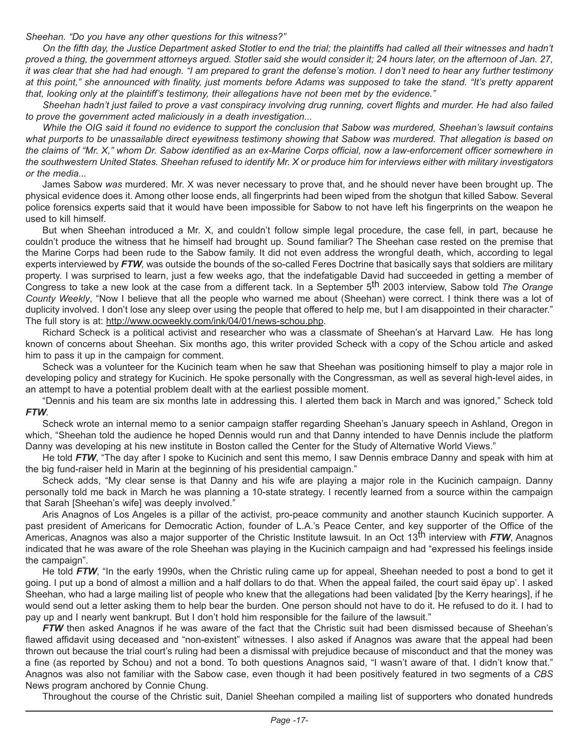*Sheehan. "Do you have any other questions for this witness?"*

*On the fifth day, the Justice Department asked Stotler to end the trial; the plaintiffs had called all their witnesses and hadn't proved a thing, the government attorneys argued. Stotler said she would consider it; 24 hours later, on the afternoon of Jan. 27, it was clear that she had had enough. "I am prepared to grant the defense's motion. I don't need to hear any further testimony at this point," she announced with finality, just moments before Adams was supposed to take the stand. "It's pretty apparent that, looking only at the plaintiff's testimony, their allegations have not been met by the evidence."*

*Sheehan hadn't just failed to prove a vast conspiracy involving drug running, covert flights and murder. He had also failed to prove the government acted maliciously in a death investigation...*

*While the OIG said it found no evidence to support the conclusion that Sabow was murdered, Sheehan's lawsuit contains what purports to be unassailable direct eyewitness testimony showing that Sabow was murdered. That allegation is based on the claims of "Mr. X," whom Dr. Sabow identified as an ex-Marine Corps official, now a law-enforcement officer somewhere in the southwestern United States. Sheehan refused to identify Mr. X or produce him for interviews either with military investigators or the media...*

James Sabow *was* murdered. Mr. X was never necessary to prove that, and he should never have been brought up. The physical evidence does it. Among other loose ends, all fingerprints had been wiped from the shotgun that killed Sabow. Several police forensics experts said that it would have been impossible for Sabow to not have left his fingerprints on the weapon he used to kill himself.

But when Sheehan introduced a Mr. X, and couldn't follow simple legal procedure, the case fell, in part, because he couldn't produce the witness that he himself had brought up. Sound familiar? The Sheehan case rested on the premise that the Marine Corps had been rude to the Sabow family. It did not even address the wrongful death, which, according to legal experts interviewed by *FTW,* was outside the bounds of the so-called Feres Doctrine that basically says that soldiers are military property. I was surprised to learn, just a few weeks ago, that the indefatigable David had succeeded in getting a member of Congress to take a new look at the case from a different tack. In a September 5th 2003 interview, Sabow told *The Orange County Weekly*, "Now I believe that all the people who warned me about (Sheehan) were correct. I think there was a lot of duplicity involved. I don't lose any sleep over using the people that offered to help me, but I am disappointed in their character." The full story is at: http://www.ocweekly.com/ink/04/01/news-schou.php.

Richard Scheck is a political activist and researcher who was a classmate of Sheehan's at Harvard Law. He has long known of concerns about Sheehan. Six months ago, this writer provided Scheck with a copy of the Schou article and asked him to pass it up in the campaign for comment.

Scheck was a volunteer for the Kucinich team when he saw that Sheehan was positioning himself to play a major role in developing policy and strategy for Kucinich. He spoke personally with the Congressman, as well as several high-level aides, in an attempt to have a potential problem dealt with at the earliest possible moment.

"Dennis and his team are six months late in addressing this. I alerted them back in March and was ignored," Scheck told *FTW*.

Scheck wrote an internal memo to a senior campaign staffer regarding Sheehan's January speech in Ashland, Oregon in which, "Sheehan told the audience he hoped Dennis would run and that Danny intended to have Dennis include the platform Danny was developing at his new institute in Boston called the Center for the Study of Alternative World Views."

He told *FTW*, "The day after I spoke to Kucinich and sent this memo, I saw Dennis embrace Danny and speak with him at the big fund-raiser held in Marin at the beginning of his presidential campaign."

Scheck adds, "My clear sense is that Danny and his wife are playing a major role in the Kucinich campaign. Danny personally told me back in March he was planning a 10-state strategy. I recently learned from a source within the campaign that Sarah [Sheehan's wife] was deeply involved."

Aris Anagnos of Los Angeles is a pillar of the activist, pro-peace community and another staunch Kucinich supporter. A past president of Americans for Democratic Action, founder of L.A.'s Peace Center, and key supporter of the Office of the Americas, Anagnos was also a major supporter of the Christic Institute lawsuit. In an Oct 13th interview with *FTW*, Anagnos indicated that he was aware of the role Sheehan was playing in the Kucinich campaign and had "expressed his feelings inside the campaign".

He told *FTW*, "In the early 1990s, when the Christic ruling came up for appeal, Sheehan needed to post a bond to get it going. I put up a bond of almost a million and a half dollars to do that. When the appeal failed, the court said ëpay up'. I asked Sheehan, who had a large mailing list of people who knew that the allegations had been validated [by the Kerry hearings], if he would send out a letter asking them to help bear the burden. One person should not have to do it. He refused to do it. I had to pay up and I nearly went bankrupt. But I don't hold him responsible for the failure of the lawsuit."

*FTW* then asked Anagnos if he was aware of the fact that the Christic suit had been dismissed because of Sheehan's flawed affidavit using deceased and "non-existent" witnesses. I also asked if Anagnos was aware that the appeal had been thrown out because the trial court's ruling had been a dismissal with prejudice because of misconduct and that the money was a fine (as reported by Schou) and not a bond. To both questions Anagnos said, "I wasn't aware of that. I didn't know that." Anagnos was also not familiar with the Sabow case, even though it had been positively featured in two segments of a *CBS* News program anchored by Connie Chung.

Throughout the course of the Christic suit, Daniel Sheehan compiled a mailing list of supporters who donated hundreds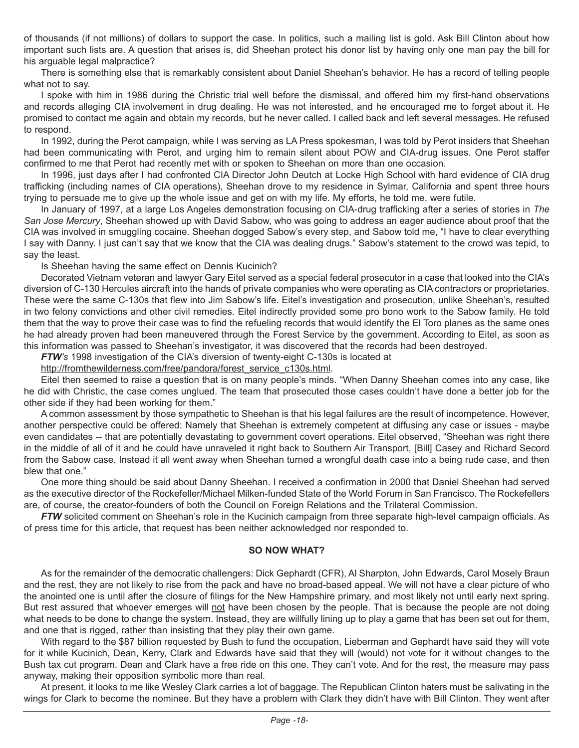of thousands (if not millions) of dollars to support the case. In politics, such a mailing list is gold. Ask Bill Clinton about how important such lists are. A question that arises is, did Sheehan protect his donor list by having only one man pay the bill for his arguable legal malpractice?

There is something else that is remarkably consistent about Daniel Sheehan's behavior. He has a record of telling people what not to say.

I spoke with him in 1986 during the Christic trial well before the dismissal, and offered him my first-hand observations and records alleging CIA involvement in drug dealing. He was not interested, and he encouraged me to forget about it. He promised to contact me again and obtain my records, but he never called. I called back and left several messages. He refused to respond.

In 1992, during the Perot campaign, while I was serving as LA Press spokesman, I was told by Perot insiders that Sheehan had been communicating with Perot, and urging him to remain silent about POW and CIA-drug issues. One Perot staffer confirmed to me that Perot had recently met with or spoken to Sheehan on more than one occasion.

In 1996, just days after I had confronted CIA Director John Deutch at Locke High School with hard evidence of CIA drug trafficking (including names of CIA operations), Sheehan drove to my residence in Sylmar, California and spent three hours trying to persuade me to give up the whole issue and get on with my life. My efforts, he told me, were futile.

In January of 1997, at a large Los Angeles demonstration focusing on CIA-drug trafficking after a series of stories in *The San Jose Mercury*, Sheehan showed up with David Sabow, who was going to address an eager audience about proof that the CIA was involved in smuggling cocaine. Sheehan dogged Sabow's every step, and Sabow told me, "I have to clear everything I say with Danny. I just can't say that we know that the CIA was dealing drugs." Sabow's statement to the crowd was tepid, to say the least.

Is Sheehan having the same effect on Dennis Kucinich?

Decorated Vietnam veteran and lawyer Gary Eitel served as a special federal prosecutor in a case that looked into the CIA's diversion of C-130 Hercules aircraft into the hands of private companies who were operating as CIA contractors or proprietaries. These were the same C-130s that flew into Jim Sabow's life. Eitel's investigation and prosecution, unlike Sheehan's, resulted in two felony convictions and other civil remedies. Eitel indirectly provided some pro bono work to the Sabow family. He told them that the way to prove their case was to find the refueling records that would identify the El Toro planes as the same ones he had already proven had been maneuvered through the Forest Service by the government. According to Eitel, as soon as this information was passed to Sheehan's investigator, it was discovered that the records had been destroyed.

*FTW's* 1998 investigation of the CIA's diversion of twenty-eight C-130s is located at

http://fromthewilderness.com/free/pandora/forest\_service\_c130s.html.

Eitel then seemed to raise a question that is on many people's minds. "When Danny Sheehan comes into any case, like he did with Christic, the case comes unglued. The team that prosecuted those cases couldn't have done a better job for the other side if they had been working for them."

A common assessment by those sympathetic to Sheehan is that his legal failures are the result of incompetence. However, another perspective could be offered: Namely that Sheehan is extremely competent at diffusing any case or issues - maybe even candidates -- that are potentially devastating to government covert operations. Eitel observed, "Sheehan was right there in the middle of all of it and he could have unraveled it right back to Southern Air Transport, [Bill] Casey and Richard Secord from the Sabow case. Instead it all went away when Sheehan turned a wrongful death case into a being rude case, and then blew that one."

One more thing should be said about Danny Sheehan. I received a confirmation in 2000 that Daniel Sheehan had served as the executive director of the Rockefeller/Michael Milken-funded State of the World Forum in San Francisco. The Rockefellers are, of course, the creator-founders of both the Council on Foreign Relations and the Trilateral Commission.

*FTW* solicited comment on Sheehan's role in the Kucinich campaign from three separate high-level campaign officials. As of press time for this article, that request has been neither acknowledged nor responded to.

#### **SO NOW WHAT?**

As for the remainder of the democratic challengers: Dick Gephardt (CFR), Al Sharpton, John Edwards, Carol Mosely Braun and the rest, they are not likely to rise from the pack and have no broad-based appeal. We will not have a clear picture of who the anointed one is until after the closure of filings for the New Hampshire primary, and most likely not until early next spring. But rest assured that whoever emerges will not have been chosen by the people. That is because the people are not doing what needs to be done to change the system. Instead, they are willfully lining up to play a game that has been set out for them, and one that is rigged, rather than insisting that they play their own game.

With regard to the \$87 billion requested by Bush to fund the occupation, Lieberman and Gephardt have said they will vote for it while Kucinich, Dean, Kerry, Clark and Edwards have said that they will (would) not vote for it without changes to the Bush tax cut program. Dean and Clark have a free ride on this one. They can't vote. And for the rest, the measure may pass anyway, making their opposition symbolic more than real.

At present, it looks to me like Wesley Clark carries a lot of baggage. The Republican Clinton haters must be salivating in the wings for Clark to become the nominee. But they have a problem with Clark they didn't have with Bill Clinton. They went after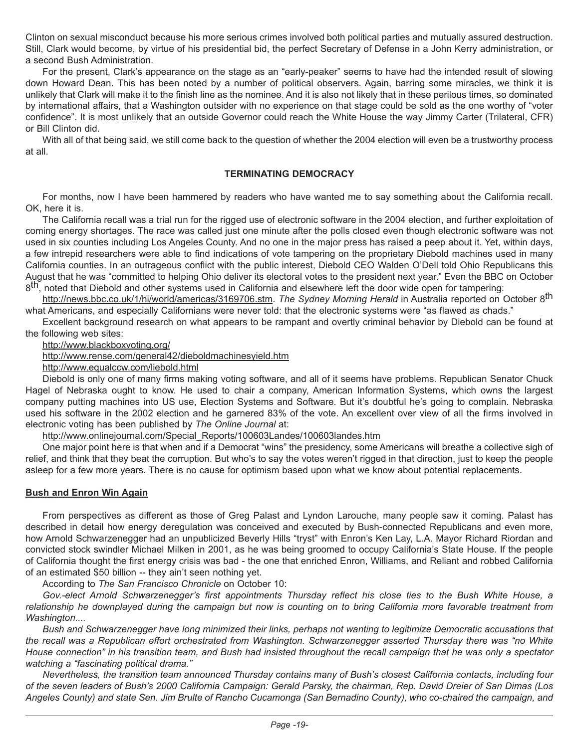Clinton on sexual misconduct because his more serious crimes involved both political parties and mutually assured destruction. Still, Clark would become, by virtue of his presidential bid, the perfect Secretary of Defense in a John Kerry administration, or a second Bush Administration.

For the present, Clark's appearance on the stage as an "early-peaker" seems to have had the intended result of slowing down Howard Dean. This has been noted by a number of political observers. Again, barring some miracles, we think it is unlikely that Clark will make it to the finish line as the nominee. And it is also not likely that in these perilous times, so dominated by international affairs, that a Washington outsider with no experience on that stage could be sold as the one worthy of "voter confidence". It is most unlikely that an outside Governor could reach the White House the way Jimmy Carter (Trilateral, CFR) or Bill Clinton did.

With all of that being said, we still come back to the question of whether the 2004 election will even be a trustworthy process at all.

#### **TERMINATING DEMOCRACY**

For months, now I have been hammered by readers who have wanted me to say something about the California recall. OK, here it is.

The California recall was a trial run for the rigged use of electronic software in the 2004 election, and further exploitation of coming energy shortages. The race was called just one minute after the polls closed even though electronic software was not used in six counties including Los Angeles County. And no one in the major press has raised a peep about it. Yet, within days, a few intrepid researchers were able to find indications of vote tampering on the proprietary Diebold machines used in many California counties. In an outrageous conflict with the public interest, Diebold CEO Walden O'Dell told Ohio Republicans this August that he was "committed to helping Ohio deliver its electoral votes to the president next year." Even the BBC on October  $8<sup>th</sup>$ , noted that Diebold and other systems used in California and elsewhere left the door wide open for tampering:

http://news.bbc.co.uk/1/hi/world/americas/3169706.stm. *The Sydney Morning Herald* in Australia reported on October 8th what Americans, and especially Californians were never told: that the electronic systems were "as flawed as chads."

Excellent background research on what appears to be rampant and overtly criminal behavior by Diebold can be found at the following web sites:

http://www.blackboxvoting.org/

http://www.rense.com/general42/dieboldmachinesyield.htm

http://www.equalccw.com/liebold.html

Diebold is only one of many firms making voting software, and all of it seems have problems. Republican Senator Chuck Hagel of Nebraska ought to know. He used to chair a company, American Information Systems, which owns the largest company putting machines into US use, Election Systems and Software. But it's doubtful he's going to complain. Nebraska used his software in the 2002 election and he garnered 83% of the vote. An excellent over view of all the firms involved in electronic voting has been published by *The Online Journal* at:

http://www.onlinejournal.com/Special\_Reports/100603Landes/100603landes.htm

One major point here is that when and if a Democrat "wins" the presidency, some Americans will breathe a collective sigh of relief, and think that they beat the corruption. But who's to say the votes weren't rigged in that direction, just to keep the people asleep for a few more years. There is no cause for optimism based upon what we know about potential replacements.

#### **Bush and Enron Win Again**

From perspectives as different as those of Greg Palast and Lyndon Larouche, many people saw it coming. Palast has described in detail how energy deregulation was conceived and executed by Bush-connected Republicans and even more, how Arnold Schwarzenegger had an unpublicized Beverly Hills "tryst" with Enron's Ken Lay, L.A. Mayor Richard Riordan and convicted stock swindler Michael Milken in 2001, as he was being groomed to occupy California's State House. If the people of California thought the first energy crisis was bad - the one that enriched Enron, Williams, and Reliant and robbed California of an estimated \$50 billion -- they ain't seen nothing yet.

According to *The San Francisco Chronicle* on October 10:

*Gov.-elect Arnold Schwarzenegger's first appointments Thursday reflect his close ties to the Bush White House, a relationship he downplayed during the campaign but now is counting on to bring California more favorable treatment from Washington....*

*Bush and Schwarzenegger have long minimized their links, perhaps not wanting to legitimize Democratic accusations that the recall was a Republican effort orchestrated from Washington. Schwarzenegger asserted Thursday there was "no White House connection" in his transition team, and Bush had insisted throughout the recall campaign that he was only a spectator watching a "fascinating political drama."* 

*Nevertheless, the transition team announced Thursday contains many of Bush's closest California contacts, including four of the seven leaders of Bush's 2000 California Campaign: Gerald Parsky, the chairman, Rep. David Dreier of San Dimas (Los Angeles County) and state Sen. Jim Brulte of Rancho Cucamonga (San Bernadino County), who co-chaired the campaign, and*